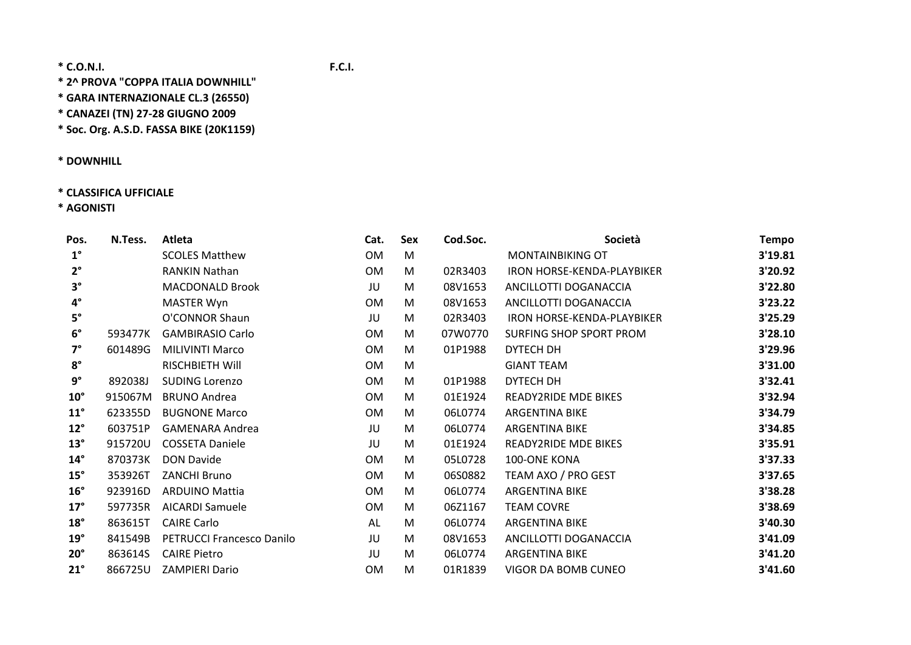**\* 2^ PROVA "COPPA ITALIA DOWNHILL"**

**\* GARA INTERNAZIONALE CL.3 (26550)**

**\* CANAZEI (TN) 27‐28 GIUGNO 2009**

**\* Soc. Org. A.S.D. FASSA BIKE (20K1159)**

**\* DOWNHILL**

# **\* CLASSIFICA UFFICIALE**

**\* AGONISTI**

| Pos.         | N.Tess. | Atleta                    | Cat.      | Sex | Cod.Soc. | Società                           | <b>Tempo</b> |
|--------------|---------|---------------------------|-----------|-----|----------|-----------------------------------|--------------|
| $1^{\circ}$  |         | <b>SCOLES Matthew</b>     | <b>OM</b> | M   |          | <b>MONTAINBIKING OT</b>           | 3'19.81      |
| $2^{\circ}$  |         | <b>RANKIN Nathan</b>      | <b>OM</b> | M   | 02R3403  | <b>IRON HORSE-KENDA-PLAYBIKER</b> | 3'20.92      |
| $3^{\circ}$  |         | <b>MACDONALD Brook</b>    | JU        | M   | 08V1653  | ANCILLOTTI DOGANACCIA             | 3'22.80      |
| $4^{\circ}$  |         | <b>MASTER Wyn</b>         | <b>OM</b> | M   | 08V1653  | ANCILLOTTI DOGANACCIA             | 3'23.22      |
| $5^\circ$    |         | O'CONNOR Shaun            | JU        | M   | 02R3403  | IRON HORSE-KENDA-PLAYBIKER        | 3'25.29      |
| $6^{\circ}$  | 593477K | <b>GAMBIRASIO Carlo</b>   | 0M        | M   | 07W0770  | SURFING SHOP SPORT PROM           | 3'28.10      |
| $7^\circ$    | 601489G | <b>MILIVINTI Marco</b>    | <b>OM</b> | M   | 01P1988  | DYTECH DH                         | 3'29.96      |
| $8^{\circ}$  |         | <b>RISCHBIETH Will</b>    | <b>OM</b> | M   |          | <b>GIANT TEAM</b>                 | 3'31.00      |
| $9^{\circ}$  | 892038J | <b>SUDING Lorenzo</b>     | <b>OM</b> | M   | 01P1988  | DYTECH DH                         | 3'32.41      |
| $10^{\circ}$ | 915067M | <b>BRUNO Andrea</b>       | <b>OM</b> | M   | 01E1924  | <b>READY2RIDE MDE BIKES</b>       | 3'32.94      |
| $11^{\circ}$ | 623355D | <b>BUGNONE Marco</b>      | <b>OM</b> | M   | 06L0774  | <b>ARGENTINA BIKE</b>             | 3'34.79      |
| $12^{\circ}$ | 603751P | <b>GAMENARA Andrea</b>    | JU        | M   | 06L0774  | <b>ARGENTINA BIKE</b>             | 3'34.85      |
| $13^\circ$   | 915720U | <b>COSSETA Daniele</b>    | JU        | M   | 01E1924  | <b>READY2RIDE MDE BIKES</b>       | 3'35.91      |
| $14^{\circ}$ | 870373K | <b>DON Davide</b>         | <b>OM</b> | M   | 05L0728  | 100-ONE KONA                      | 3'37.33      |
| $15^\circ$   | 353926T | <b>ZANCHI Bruno</b>       | <b>OM</b> | M   | 06S0882  | TEAM AXO / PRO GEST               | 3'37.65      |
| $16^{\circ}$ | 923916D | <b>ARDUINO Mattia</b>     | <b>OM</b> | M   | 06L0774  | <b>ARGENTINA BIKE</b>             | 3'38.28      |
| $17^\circ$   | 597735R | <b>AICARDI Samuele</b>    | <b>OM</b> | M   | 06Z1167  | <b>TEAM COVRE</b>                 | 3'38.69      |
| $18^\circ$   | 863615T | <b>CAIRE Carlo</b>        | AL        | M   | 06L0774  | <b>ARGENTINA BIKE</b>             | 3'40.30      |
| $19^\circ$   | 841549B | PETRUCCI Francesco Danilo | JU        | M   | 08V1653  | ANCILLOTTI DOGANACCIA             | 3'41.09      |
| $20^{\circ}$ | 863614S | <b>CAIRE Pietro</b>       | JU        | M   | 06L0774  | <b>ARGENTINA BIKE</b>             | 3'41.20      |
| $21^{\circ}$ | 866725U | <b>ZAMPIERI Dario</b>     | <b>OM</b> | M   | 01R1839  | VIGOR DA BOMB CUNEO               | 3'41.60      |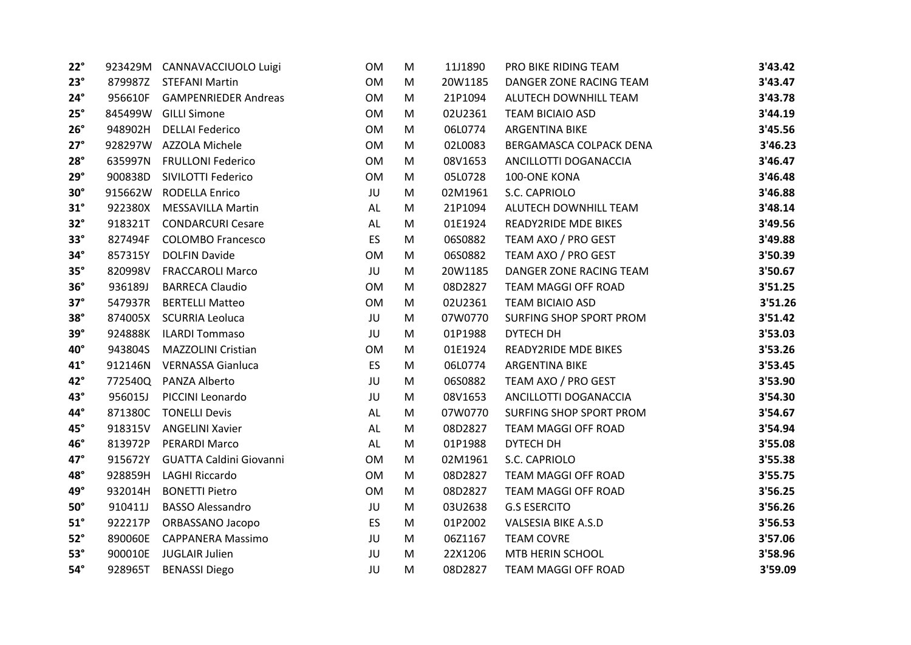| $22^\circ$   |         | 923429M CANNAVACCIUOLO Luigi   | <b>OM</b> | M | 11J1890 | PRO BIKE RIDING TEAM        | 3'43.42 |
|--------------|---------|--------------------------------|-----------|---|---------|-----------------------------|---------|
| $23^\circ$   |         | 879987Z STEFANI Martin         | <b>OM</b> | M | 20W1185 | DANGER ZONE RACING TEAM     | 3'43.47 |
| $24^\circ$   | 956610F | <b>GAMPENRIEDER Andreas</b>    | <b>OM</b> | M | 21P1094 | ALUTECH DOWNHILL TEAM       | 3'43.78 |
| $25^\circ$   |         | 845499W GILLI Simone           | OM        | M | 02U2361 | <b>TEAM BICIAIO ASD</b>     | 3'44.19 |
| $26^\circ$   | 948902H | <b>DELLAI Federico</b>         | <b>OM</b> | M | 06L0774 | <b>ARGENTINA BIKE</b>       | 3'45.56 |
| $27^\circ$   | 928297W | <b>AZZOLA Michele</b>          | <b>OM</b> | M | 02L0083 | BERGAMASCA COLPACK DENA     | 3'46.23 |
| $28^\circ$   | 635997N | <b>FRULLONI Federico</b>       | <b>OM</b> | M | 08V1653 | ANCILLOTTI DOGANACCIA       | 3'46.47 |
| $29^\circ$   | 900838D | SIVILOTTI Federico             | <b>OM</b> | M | 05L0728 | 100-ONE KONA                | 3'46.48 |
| $30^\circ$   | 915662W | <b>RODELLA Enrico</b>          | JU        | M | 02M1961 | S.C. CAPRIOLO               | 3'46.88 |
| $31^\circ$   | 922380X | <b>MESSAVILLA Martin</b>       | AL        | M | 21P1094 | ALUTECH DOWNHILL TEAM       | 3'48.14 |
| $32^\circ$   | 918321T | <b>CONDARCURI Cesare</b>       | AL        | M | 01E1924 | <b>READY2RIDE MDE BIKES</b> | 3'49.56 |
| $33^\circ$   | 827494F | <b>COLOMBO Francesco</b>       | ES        | M | 06S0882 | TEAM AXO / PRO GEST         | 3'49.88 |
| $34^\circ$   | 857315Y | <b>DOLFIN Davide</b>           | <b>OM</b> | M | 06S0882 | TEAM AXO / PRO GEST         | 3'50.39 |
| $35^\circ$   | 820998V | <b>FRACCAROLI Marco</b>        | JU        | M | 20W1185 | DANGER ZONE RACING TEAM     | 3'50.67 |
| $36^\circ$   | 936189J | <b>BARRECA Claudio</b>         | OM        | M | 08D2827 | <b>TEAM MAGGI OFF ROAD</b>  | 3'51.25 |
| $37^\circ$   | 547937R | <b>BERTELLI Matteo</b>         | <b>OM</b> | M | 02U2361 | <b>TEAM BICIAIO ASD</b>     | 3'51.26 |
| $38^\circ$   | 874005X | <b>SCURRIA Leoluca</b>         | JU        | M | 07W0770 | SURFING SHOP SPORT PROM     | 3'51.42 |
| $39^\circ$   | 924888K | <b>ILARDI Tommaso</b>          | JU        | M | 01P1988 | DYTECH DH                   | 3'53.03 |
| 40°          | 943804S | MAZZOLINI Cristian             | OM        | M | 01E1924 | READY2RIDE MDE BIKES        | 3'53.26 |
| $41^{\circ}$ | 912146N | <b>VERNASSA Gianluca</b>       | ES        | M | 06L0774 | <b>ARGENTINA BIKE</b>       | 3'53.45 |
| 42°          | 772540Q | PANZA Alberto                  | JU        | M | 06S0882 | TEAM AXO / PRO GEST         | 3'53.90 |
| 43°          | 956015J | PICCINI Leonardo               | JU        | M | 08V1653 | ANCILLOTTI DOGANACCIA       | 3'54.30 |
| 44°          | 871380C | <b>TONELLI Devis</b>           | AL        | M | 07W0770 | SURFING SHOP SPORT PROM     | 3'54.67 |
| $45^{\circ}$ | 918315V | <b>ANGELINI Xavier</b>         | AL        | M | 08D2827 | TEAM MAGGI OFF ROAD         | 3'54.94 |
| $46^{\circ}$ | 813972P | PERARDI Marco                  | AL        | M | 01P1988 | DYTECH DH                   | 3'55.08 |
| 47°          | 915672Y | <b>GUATTA Caldini Giovanni</b> | OM        | M | 02M1961 | S.C. CAPRIOLO               | 3'55.38 |
| 48°          | 928859H | <b>LAGHI Riccardo</b>          | <b>OM</b> | M | 08D2827 | TEAM MAGGI OFF ROAD         | 3'55.75 |
| 49°          | 932014H | <b>BONETTI Pietro</b>          | <b>OM</b> | M | 08D2827 | TEAM MAGGI OFF ROAD         | 3'56.25 |
| $50^\circ$   | 910411J | <b>BASSO Alessandro</b>        | JU        | M | 03U2638 | <b>G.S ESERCITO</b>         | 3'56.26 |
| $51^{\circ}$ | 922217P | ORBASSANO Jacopo               | ES        | M | 01P2002 | VALSESIA BIKE A.S.D         | 3'56.53 |
| $52^\circ$   | 890060E | <b>CAPPANERA Massimo</b>       | JU        | M | 06Z1167 | <b>TEAM COVRE</b>           | 3'57.06 |
| $53^\circ$   | 900010E | <b>JUGLAIR Julien</b>          | JU        | M | 22X1206 | MTB HERIN SCHOOL            | 3'58.96 |
| $54^\circ$   | 928965T | <b>BENASSI Diego</b>           | JU        | M | 08D2827 | TEAM MAGGI OFF ROAD         | 3'59.09 |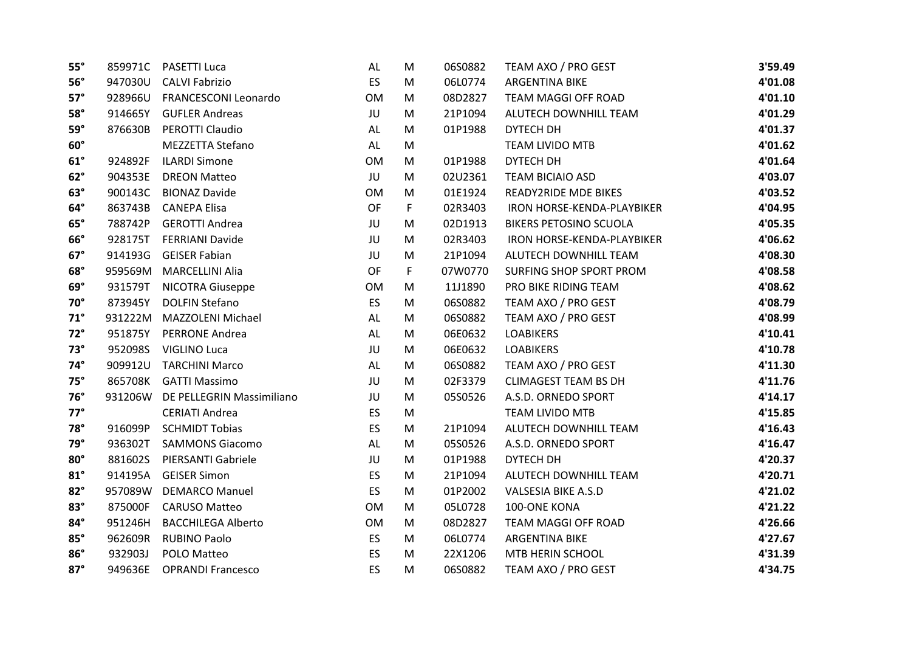| $55^\circ$ |         | 859971C PASETTI Luca        | AL        | M  | 06S0882 | TEAM AXO / PRO GEST           | 3'59.49 |
|------------|---------|-----------------------------|-----------|----|---------|-------------------------------|---------|
| $56^\circ$ | 947030U | <b>CALVI Fabrizio</b>       | <b>ES</b> | M  | 06L0774 | <b>ARGENTINA BIKE</b>         | 4'01.08 |
| $57^\circ$ | 928966U | <b>FRANCESCONI Leonardo</b> | <b>OM</b> | M  | 08D2827 | TEAM MAGGI OFF ROAD           | 4'01.10 |
| 58°        | 914665Y | <b>GUFLER Andreas</b>       | JU        | M  | 21P1094 | ALUTECH DOWNHILL TEAM         | 4'01.29 |
| $59^\circ$ | 876630B | PEROTTI Claudio             | AL        | M  | 01P1988 | DYTECH DH                     | 4'01.37 |
| $60^\circ$ |         | <b>MEZZETTA Stefano</b>     | AL        | M  |         | <b>TEAM LIVIDO MTB</b>        | 4'01.62 |
| $61^\circ$ | 924892F | <b>ILARDI Simone</b>        | <b>OM</b> | M  | 01P1988 | DYTECH DH                     | 4'01.64 |
| $62^\circ$ | 904353E | <b>DREON Matteo</b>         | JU        | M  | 02U2361 | <b>TEAM BICIAIO ASD</b>       | 4'03.07 |
| $63^\circ$ | 900143C | <b>BIONAZ Davide</b>        | <b>OM</b> | M  | 01E1924 | <b>READY2RIDE MDE BIKES</b>   | 4'03.52 |
| $64^\circ$ | 863743B | <b>CANEPA Elisa</b>         | <b>OF</b> | F. | 02R3403 | IRON HORSE-KENDA-PLAYBIKER    | 4'04.95 |
| $65^\circ$ | 788742P | <b>GEROTTI Andrea</b>       | JU        | M  | 02D1913 | <b>BIKERS PETOSINO SCUOLA</b> | 4'05.35 |
| $66^\circ$ | 928175T | <b>FERRIANI Davide</b>      | JU        | M  | 02R3403 | IRON HORSE-KENDA-PLAYBIKER    | 4'06.62 |
| $67^\circ$ | 914193G | <b>GEISER Fabian</b>        | JU        | M  | 21P1094 | ALUTECH DOWNHILL TEAM         | 4'08.30 |
| $68^\circ$ | 959569M | <b>MARCELLINI Alia</b>      | OF        | F. | 07W0770 | SURFING SHOP SPORT PROM       | 4'08.58 |
| $69^\circ$ | 931579T | <b>NICOTRA Giuseppe</b>     | <b>OM</b> | M  | 11J1890 | PRO BIKE RIDING TEAM          | 4'08.62 |
| $70^\circ$ | 873945Y | <b>DOLFIN Stefano</b>       | ES        | M  | 06S0882 | TEAM AXO / PRO GEST           | 4'08.79 |
| $71^\circ$ | 931222M | MAZZOLENI Michael           | AL        | M  | 06S0882 | TEAM AXO / PRO GEST           | 4'08.99 |
| $72^\circ$ | 951875Y | <b>PERRONE Andrea</b>       | AL        | M  | 06E0632 | <b>LOABIKERS</b>              | 4'10.41 |
| $73^\circ$ | 952098S | VIGLINO Luca                | JU        | M  | 06E0632 | <b>LOABIKERS</b>              | 4'10.78 |
| $74^\circ$ | 909912U | <b>TARCHINI Marco</b>       | AL        | M  | 06S0882 | TEAM AXO / PRO GEST           | 4'11.30 |
| $75^\circ$ | 865708K | <b>GATTI Massimo</b>        | JU        | M  | 02F3379 | <b>CLIMAGEST TEAM BS DH</b>   | 4'11.76 |
| $76^\circ$ | 931206W | DE PELLEGRIN Massimiliano   | JU        | M  | 05S0526 | A.S.D. ORNEDO SPORT           | 4'14.17 |
| $77^\circ$ |         | <b>CERIATI Andrea</b>       | <b>ES</b> | M  |         | TEAM LIVIDO MTB               | 4'15.85 |
| $78^\circ$ | 916099P | <b>SCHMIDT Tobias</b>       | <b>ES</b> | M  | 21P1094 | ALUTECH DOWNHILL TEAM         | 4'16.43 |
| $79^\circ$ | 936302T | <b>SAMMONS Giacomo</b>      | AL        | M  | 05S0526 | A.S.D. ORNEDO SPORT           | 4'16.47 |
| $80^\circ$ | 881602S | PIERSANTI Gabriele          | JU        | M  | 01P1988 | DYTECH DH                     | 4'20.37 |
| $81^\circ$ | 914195A | <b>GEISER Simon</b>         | <b>ES</b> | M  | 21P1094 | ALUTECH DOWNHILL TEAM         | 4'20.71 |
| $82^\circ$ | 957089W | <b>DEMARCO Manuel</b>       | <b>ES</b> | M  | 01P2002 | <b>VALSESIA BIKE A.S.D</b>    | 4'21.02 |
| $83^\circ$ | 875000F | <b>CARUSO Matteo</b>        | <b>OM</b> | M  | 05L0728 | 100-ONE KONA                  | 4'21.22 |
| $84^\circ$ | 951246H | <b>BACCHILEGA Alberto</b>   | <b>OM</b> | M  | 08D2827 | TEAM MAGGI OFF ROAD           | 4'26.66 |
| $85^\circ$ | 962609R | <b>RUBINO Paolo</b>         | ES        | M  | 06L0774 | <b>ARGENTINA BIKE</b>         | 4'27.67 |
| $86^\circ$ | 932903J | POLO Matteo                 | ES        | M  | 22X1206 | MTB HERIN SCHOOL              | 4'31.39 |
| $87^\circ$ | 949636E | <b>OPRANDI Francesco</b>    | ES        | M  | 06S0882 | TEAM AXO / PRO GEST           | 4'34.75 |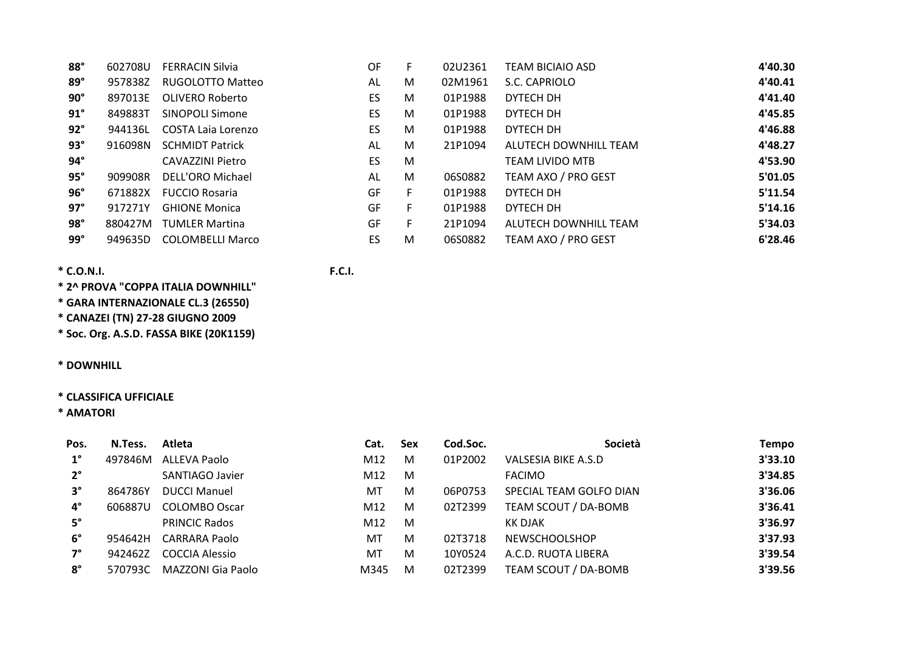| $88^\circ$ | 602708U | <b>FERRACIN Silvia</b>    | OF | F. | 02U2361 | <b>TEAM BICIAIO ASD</b> | 4'40.30 |
|------------|---------|---------------------------|----|----|---------|-------------------------|---------|
| $89^\circ$ | 957838Z | RUGOLOTTO Matteo          | AL | M  | 02M1961 | S.C. CAPRIOLO           | 4'40.41 |
| $90^\circ$ | 897013E | OLIVERO Roberto           | ES | M  | 01P1988 | DYTECH DH               | 4'41.40 |
| $91^\circ$ | 849883T | <b>SINOPOLI Simone</b>    | ES | M  | 01P1988 | DYTECH DH               | 4'45.85 |
| $92^\circ$ | 944136L | <b>COSTA Laia Lorenzo</b> | ES | M  | 01P1988 | DYTECH DH               | 4'46.88 |
| $93^\circ$ | 916098N | <b>SCHMIDT Patrick</b>    | AL | M  | 21P1094 | ALUTECH DOWNHILL TEAM   | 4'48.27 |
| $94^\circ$ |         | CAVAZZINI Pietro          | ES | M  |         | <b>TEAM LIVIDO MTB</b>  | 4'53.90 |
| $95^\circ$ | 909908R | DELL'ORO Michael          | AL | M  | 06S0882 | TEAM AXO / PRO GEST     | 5'01.05 |
| $96^\circ$ | 671882X | <b>FUCCIO Rosaria</b>     | GF | F. | 01P1988 | DYTECH DH               | 5'11.54 |
| $97^\circ$ | 917271Y | <b>GHIONE Monica</b>      | GF | F. | 01P1988 | DYTECH DH               | 5'14.16 |
| $98^\circ$ | 880427M | <b>TUMLER Martina</b>     | GF | F. | 21P1094 | ALUTECH DOWNHILL TEAM   | 5'34.03 |
| $99^\circ$ | 949635D | <b>COLOMBELLI Marco</b>   | ES | M  | 06S0882 | TEAM AXO / PRO GEST     | 6'28.46 |

**\* 2^ PROVA "COPPA ITALIA DOWNHILL"**

**\* GARA INTERNAZIONALE CL.3 (26550)**

**\* CANAZEI (TN) 27‐28 GIUGNO 2009**

**\* Soc. Org. A.S.D. FASSA BIKE (20K1159)**

# **\* DOWNHILL**

# **\* CLASSIFICA UFFICIALE**

**\* AMATORI**

| Pos.        | N.Tess. | Atleta                | Cat. | <b>Sex</b> | Cod.Soc. | Società                 | Tempo   |
|-------------|---------|-----------------------|------|------------|----------|-------------------------|---------|
| $1^{\circ}$ | 497846M | ALLEVA Paolo          | M12  | M          | 01P2002  | VALSESIA BIKE A.S.D     | 3'33.10 |
| $2^{\circ}$ |         | SANTIAGO Javier       | M12  | M          |          | <b>FACIMO</b>           | 3'34.85 |
| $3^\circ$   | 864786Y | <b>DUCCI Manuel</b>   | MT   | м          | 06P0753  | SPECIAL TEAM GOLFO DIAN | 3'36.06 |
| $4^\circ$   | 606887U | <b>COLOMBO Oscar</b>  | M12  | M          | 02T2399  | TEAM SCOUT / DA-BOMB    | 3'36.41 |
| $5^\circ$   |         | <b>PRINCIC Rados</b>  | M12  | M          |          | KK DJAK                 | 3'36.97 |
| $6^{\circ}$ | 954642H | <b>CARRARA Paolo</b>  | MT   | M          | 02T3718  | <b>NEWSCHOOLSHOP</b>    | 3'37.93 |
| $7^\circ$   | 942462Z | <b>COCCIA Alessio</b> | MT   | M          | 10Y0524  | A.C.D. RUOTA LIBERA     | 3'39.54 |
| $8^\circ$   | 570793C | MAZZONI Gia Paolo     | M345 | M          | 02T2399  | TEAM SCOUT / DA-BOMB    | 3'39.56 |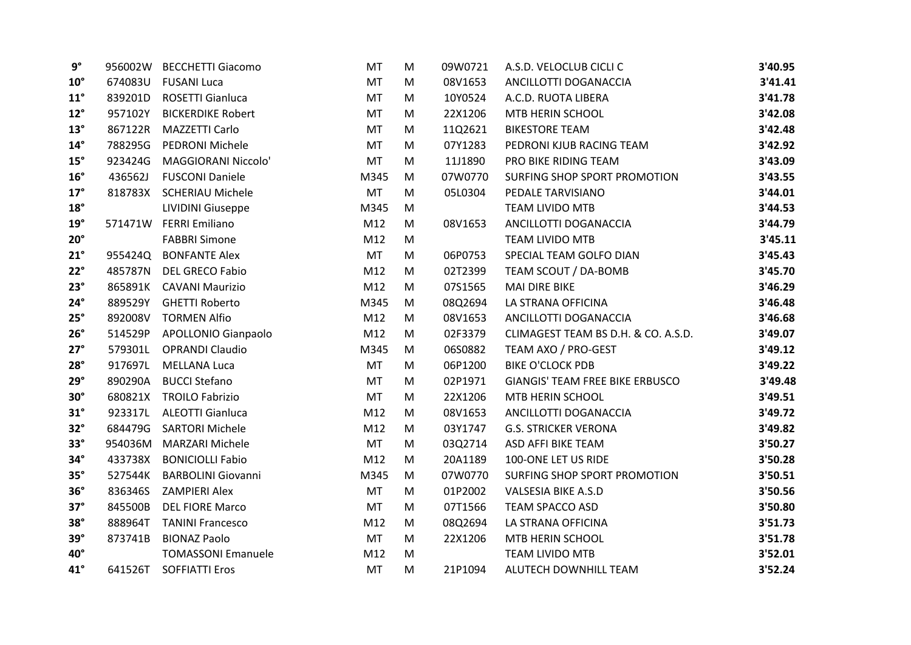| $9^{\circ}$  | 956002W | <b>BECCHETTI Giacomo</b>   | MT        | M | 09W0721 | A.S.D. VELOCLUB CICLI C             | 3'40.95 |
|--------------|---------|----------------------------|-----------|---|---------|-------------------------------------|---------|
| $10^{\circ}$ | 674083U | <b>FUSANI Luca</b>         | <b>MT</b> | M | 08V1653 | ANCILLOTTI DOGANACCIA               | 3'41.41 |
| $11^{\circ}$ | 839201D | ROSETTI Gianluca           | <b>MT</b> | M | 10Y0524 | A.C.D. RUOTA LIBERA                 | 3'41.78 |
| $12^{\circ}$ | 957102Y | <b>BICKERDIKE Robert</b>   | MT        | M | 22X1206 | MTB HERIN SCHOOL                    | 3'42.08 |
| $13^\circ$   | 867122R | MAZZETTI Carlo             | <b>MT</b> | M | 11Q2621 | <b>BIKESTORE TEAM</b>               | 3'42.48 |
| $14^{\circ}$ | 788295G | PEDRONI Michele            | <b>MT</b> | M | 07Y1283 | PEDRONI KJUB RACING TEAM            | 3'42.92 |
| $15^\circ$   | 923424G | MAGGIORANI Niccolo'        | <b>MT</b> | M | 11J1890 | PRO BIKE RIDING TEAM                | 3'43.09 |
| $16^{\circ}$ | 436562J | <b>FUSCONI Daniele</b>     | M345      | M | 07W0770 | SURFING SHOP SPORT PROMOTION        | 3'43.55 |
| $17^\circ$   | 818783X | <b>SCHERIAU Michele</b>    | <b>MT</b> | M | 05L0304 | PEDALE TARVISIANO                   | 3'44.01 |
| $18^\circ$   |         | <b>LIVIDINI Giuseppe</b>   | M345      | M |         | <b>TEAM LIVIDO MTB</b>              | 3'44.53 |
| $19^\circ$   | 571471W | <b>FERRI Emiliano</b>      | M12       | M | 08V1653 | ANCILLOTTI DOGANACCIA               | 3'44.79 |
| $20^\circ$   |         | <b>FABBRI Simone</b>       | M12       | M |         | <b>TEAM LIVIDO MTB</b>              | 3'45.11 |
| $21^{\circ}$ | 955424Q | <b>BONFANTE Alex</b>       | <b>MT</b> | M | 06P0753 | SPECIAL TEAM GOLFO DIAN             | 3'45.43 |
| $22^\circ$   | 485787N | <b>DEL GRECO Fabio</b>     | M12       | M | 02T2399 | TEAM SCOUT / DA-BOMB                | 3'45.70 |
| $23^\circ$   |         | 865891K CAVANI Maurizio    | M12       | M | 07S1565 | <b>MAI DIRE BIKE</b>                | 3'46.29 |
| $24^\circ$   | 889529Y | <b>GHETTI Roberto</b>      | M345      | M | 08Q2694 | LA STRANA OFFICINA                  | 3'46.48 |
| $25^\circ$   | 892008V | <b>TORMEN Alfio</b>        | M12       | M | 08V1653 | ANCILLOTTI DOGANACCIA               | 3'46.68 |
| $26^\circ$   | 514529P | <b>APOLLONIO Gianpaolo</b> | M12       | M | 02F3379 | CLIMAGEST TEAM BS D.H. & CO. A.S.D. | 3'49.07 |
| $27^\circ$   | 579301L | <b>OPRANDI Claudio</b>     | M345      | M | 06S0882 | TEAM AXO / PRO-GEST                 | 3'49.12 |
| $28^\circ$   | 917697L | <b>MELLANA Luca</b>        | MT        | M | 06P1200 | <b>BIKE O'CLOCK PDB</b>             | 3'49.22 |
| $29^\circ$   | 890290A | <b>BUCCI Stefano</b>       | MT        | M | 02P1971 | GIANGIS' TEAM FREE BIKE ERBUSCO     | 3'49.48 |
| $30^\circ$   | 680821X | <b>TROILO Fabrizio</b>     | <b>MT</b> | M | 22X1206 | MTB HERIN SCHOOL                    | 3'49.51 |
| $31^\circ$   | 923317L | <b>ALEOTTI Gianluca</b>    | M12       | M | 08V1653 | ANCILLOTTI DOGANACCIA               | 3'49.72 |
| $32^\circ$   | 684479G | <b>SARTORI Michele</b>     | M12       | M | 03Y1747 | <b>G.S. STRICKER VERONA</b>         | 3'49.82 |
| $33^\circ$   | 954036M | <b>MARZARI Michele</b>     | <b>MT</b> | M | 03Q2714 | ASD AFFI BIKE TEAM                  | 3'50.27 |
| $34^\circ$   | 433738X | <b>BONICIOLLI Fabio</b>    | M12       | M | 20A1189 | 100-ONE LET US RIDE                 | 3'50.28 |
| $35^\circ$   | 527544K | <b>BARBOLINI Giovanni</b>  | M345      | M | 07W0770 | SURFING SHOP SPORT PROMOTION        | 3'50.51 |
| $36^\circ$   | 836346S | <b>ZAMPIERI Alex</b>       | <b>MT</b> | M | 01P2002 | <b>VALSESIA BIKE A.S.D</b>          | 3'50.56 |
| $37^\circ$   | 845500B | <b>DEL FIORE Marco</b>     | <b>MT</b> | M | 07T1566 | <b>TEAM SPACCO ASD</b>              | 3'50.80 |
| $38^\circ$   | 888964T | <b>TANINI Francesco</b>    | M12       | M | 08Q2694 | LA STRANA OFFICINA                  | 3'51.73 |
| $39^\circ$   | 873741B | <b>BIONAZ Paolo</b>        | <b>MT</b> | M | 22X1206 | MTB HERIN SCHOOL                    | 3'51.78 |
| 40°          |         | <b>TOMASSONI Emanuele</b>  | M12       | M |         | TEAM LIVIDO MTB                     | 3'52.01 |
| $41^\circ$   | 641526T | <b>SOFFIATTI Eros</b>      | <b>MT</b> | M | 21P1094 | ALUTECH DOWNHILL TEAM               | 3'52.24 |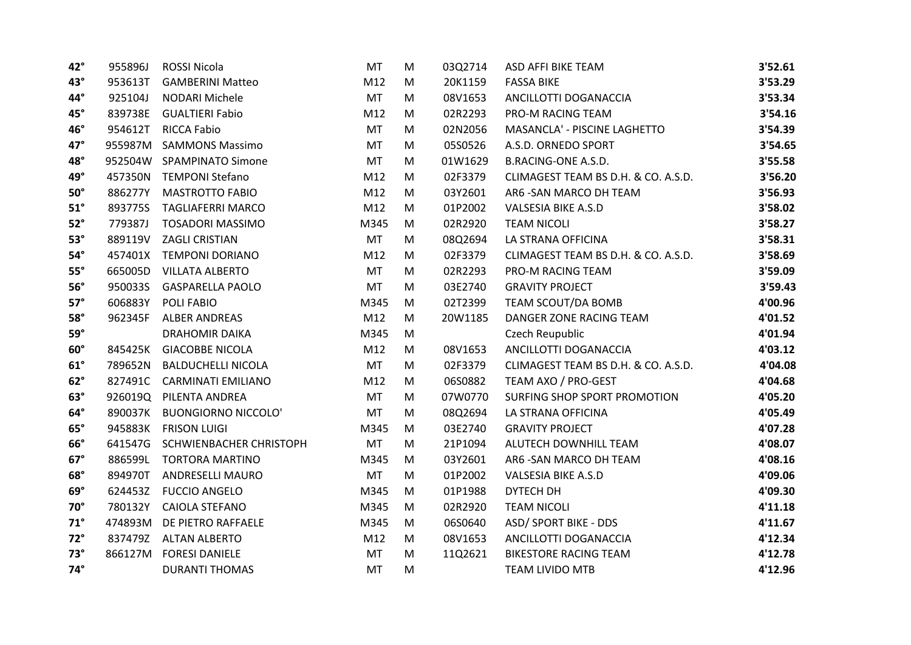| 42°          | 955896J | <b>ROSSI Nicola</b>        | <b>MT</b> | M | 03Q2714 | ASD AFFI BIKE TEAM                  | 3'52.61 |
|--------------|---------|----------------------------|-----------|---|---------|-------------------------------------|---------|
| $43^\circ$   | 953613T | <b>GAMBERINI Matteo</b>    | M12       | M | 20K1159 | <b>FASSA BIKE</b>                   | 3'53.29 |
| 44°          | 925104J | <b>NODARI Michele</b>      | <b>MT</b> | M | 08V1653 | ANCILLOTTI DOGANACCIA               | 3'53.34 |
| 45°          | 839738E | <b>GUALTIERI Fabio</b>     | M12       | M | 02R2293 | PRO-M RACING TEAM                   | 3'54.16 |
| 46°          | 954612T | <b>RICCA Fabio</b>         | <b>MT</b> | M | 02N2056 | MASANCLA' - PISCINE LAGHETTO        | 3'54.39 |
| $47^\circ$   | 955987M | <b>SAMMONS Massimo</b>     | <b>MT</b> | M | 05S0526 | A.S.D. ORNEDO SPORT                 | 3'54.65 |
| 48°          | 952504W | <b>SPAMPINATO Simone</b>   | <b>MT</b> | M | 01W1629 | <b>B.RACING-ONE A.S.D.</b>          | 3'55.58 |
| 49°          | 457350N | <b>TEMPONI Stefano</b>     | M12       | M | 02F3379 | CLIMAGEST TEAM BS D.H. & CO. A.S.D. | 3'56.20 |
| $50^\circ$   | 886277Y | <b>MASTROTTO FABIO</b>     | M12       | M | 03Y2601 | AR6 - SAN MARCO DH TEAM             | 3'56.93 |
| $51^{\circ}$ | 893775S | <b>TAGLIAFERRI MARCO</b>   | M12       | M | 01P2002 | <b>VALSESIA BIKE A.S.D</b>          | 3'58.02 |
| $52^\circ$   | 779387J | <b>TOSADORI MASSIMO</b>    | M345      | M | 02R2920 | <b>TEAM NICOLI</b>                  | 3'58.27 |
| $53^\circ$   | 889119V | <b>ZAGLI CRISTIAN</b>      | <b>MT</b> | M | 08Q2694 | LA STRANA OFFICINA                  | 3'58.31 |
| $54^\circ$   | 457401X | <b>TEMPONI DORIANO</b>     | M12       | M | 02F3379 | CLIMAGEST TEAM BS D.H. & CO. A.S.D. | 3'58.69 |
| $55^\circ$   | 665005D | <b>VILLATA ALBERTO</b>     | <b>MT</b> | M | 02R2293 | PRO-M RACING TEAM                   | 3'59.09 |
| $56^\circ$   | 950033S | <b>GASPARELLA PAOLO</b>    | MT        | M | 03E2740 | <b>GRAVITY PROJECT</b>              | 3'59.43 |
| $57^\circ$   | 606883Y | POLI FABIO                 | M345      | M | 02T2399 | TEAM SCOUT/DA BOMB                  | 4'00.96 |
| $58^\circ$   | 962345F | <b>ALBER ANDREAS</b>       | M12       | M | 20W1185 | DANGER ZONE RACING TEAM             | 4'01.52 |
| $59^\circ$   |         | <b>DRAHOMIR DAIKA</b>      | M345      | M |         | Czech Reupublic                     | 4'01.94 |
| $60^\circ$   | 845425K | <b>GIACOBBE NICOLA</b>     | M12       | M | 08V1653 | ANCILLOTTI DOGANACCIA               | 4'03.12 |
| $61^\circ$   | 789652N | <b>BALDUCHELLI NICOLA</b>  | <b>MT</b> | M | 02F3379 | CLIMAGEST TEAM BS D.H. & CO. A.S.D. | 4'04.08 |
| $62^\circ$   | 827491C | <b>CARMINATI EMILIANO</b>  | M12       | M | 06S0882 | TEAM AXO / PRO-GEST                 | 4'04.68 |
| $63^\circ$   | 926019Q | PILENTA ANDREA             | <b>MT</b> | M | 07W0770 | SURFING SHOP SPORT PROMOTION        | 4'05.20 |
| 64°          | 890037K | <b>BUONGIORNO NICCOLO'</b> | <b>MT</b> | M | 08Q2694 | LA STRANA OFFICINA                  | 4'05.49 |
| $65^\circ$   | 945883K | <b>FRISON LUIGI</b>        | M345      | M | 03E2740 | <b>GRAVITY PROJECT</b>              | 4'07.28 |
| $66^\circ$   | 641547G | SCHWIENBACHER CHRISTOPH    | <b>MT</b> | M | 21P1094 | ALUTECH DOWNHILL TEAM               | 4'08.07 |
| $67^\circ$   | 886599L | <b>TORTORA MARTINO</b>     | M345      | M | 03Y2601 | AR6 - SAN MARCO DH TEAM             | 4'08.16 |
| $68^\circ$   | 894970T | <b>ANDRESELLI MAURO</b>    | MT        | M | 01P2002 | <b>VALSESIA BIKE A.S.D</b>          | 4'09.06 |
| $69^\circ$   | 624453Z | <b>FUCCIO ANGELO</b>       | M345      | M | 01P1988 | DYTECH DH                           | 4'09.30 |
| $70^\circ$   | 780132Y | <b>CAIOLA STEFANO</b>      | M345      | M | 02R2920 | <b>TEAM NICOLI</b>                  | 4'11.18 |
| $71^\circ$   | 474893M | DE PIETRO RAFFAELE         | M345      | M | 06S0640 | <b>ASD/ SPORT BIKE - DDS</b>        | 4'11.67 |
| $72^\circ$   | 837479Z | <b>ALTAN ALBERTO</b>       | M12       | M | 08V1653 | ANCILLOTTI DOGANACCIA               | 4'12.34 |
| $73^\circ$   | 866127M | <b>FORESI DANIELE</b>      | <b>MT</b> | M | 11Q2621 | <b>BIKESTORE RACING TEAM</b>        | 4'12.78 |
| $74^\circ$   |         | <b>DURANTI THOMAS</b>      | <b>MT</b> | M |         | <b>TEAM LIVIDO MTB</b>              | 4'12.96 |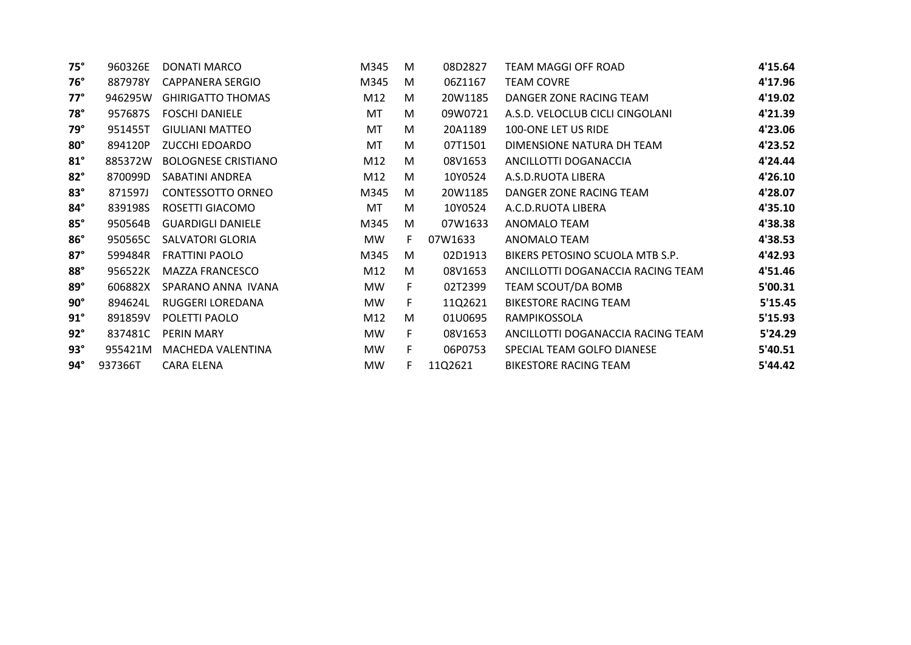| 960326E | DONATI MARCO               | M345      | M  | 08D2827 | TEAM MAGGI OFF ROAD               | 4'15.64 |
|---------|----------------------------|-----------|----|---------|-----------------------------------|---------|
| 887978Y | <b>CAPPANERA SERGIO</b>    | M345      | M  | 06Z1167 | <b>TEAM COVRE</b>                 | 4'17.96 |
| 946295W | <b>GHIRIGATTO THOMAS</b>   | M12       | M  | 20W1185 | DANGER ZONE RACING TEAM           | 4'19.02 |
| 957687S | <b>FOSCHI DANIELE</b>      | MT        | M  | 09W0721 | A.S.D. VELOCLUB CICLI CINGOLANI   | 4'21.39 |
| 951455T | <b>GIULIANI MATTEO</b>     | MT        | M  | 20A1189 | 100-ONE LET US RIDE               | 4'23.06 |
| 894120P | <b>ZUCCHI EDOARDO</b>      | MT        | M  | 07T1501 | DIMENSIONE NATURA DH TEAM         | 4'23.52 |
| 885372W | <b>BOLOGNESE CRISTIANO</b> | M12       | M  | 08V1653 | ANCILLOTTI DOGANACCIA             | 4'24.44 |
| 870099D | SABATINI ANDREA            | M12       | M  | 10Y0524 | A.S.D.RUOTA LIBERA                | 4'26.10 |
| 871597J | <b>CONTESSOTTO ORNEO</b>   | M345      | M  | 20W1185 | DANGER ZONE RACING TEAM           | 4'28.07 |
| 839198S | ROSETTI GIACOMO            | MT        | M  | 10Y0524 | A.C.D.RUOTA LIBERA                | 4'35.10 |
| 950564B | <b>GUARDIGLI DANIELE</b>   | M345      | M  | 07W1633 | ANOMALO TEAM                      | 4'38.38 |
| 950565C | <b>SALVATORI GLORIA</b>    | <b>MW</b> | F. | 07W1633 | ANOMALO TEAM                      | 4'38.53 |
| 599484R | <b>FRATTINI PAOLO</b>      | M345      | M  | 02D1913 | BIKERS PETOSINO SCUOLA MTB S.P.   | 4'42.93 |
| 956522K | MAZZA FRANCESCO            | M12       | M  | 08V1653 | ANCILLOTTI DOGANACCIA RACING TEAM | 4'51.46 |
| 606882X | SPARANO ANNA IVANA         | MW.       | F. | 02T2399 | TEAM SCOUT/DA BOMB                | 5'00.31 |
| 894624L | RUGGERI LOREDANA           | MW        | F. | 11Q2621 | BIKESTORE RACING TEAM             | 5'15.45 |
| 891859V | POLETTI PAOLO              | M12       | M  | 01U0695 | RAMPIKOSSOLA                      | 5'15.93 |
| 837481C | PERIN MARY                 | MW.       | F. | 08V1653 | ANCILLOTTI DOGANACCIA RACING TEAM | 5'24.29 |
| 955421M | MACHEDA VALENTINA          | MW        | F. | 06P0753 | SPECIAL TEAM GOLFO DIANESE        | 5'40.51 |
| 937366T | <b>CARA ELENA</b>          | MW        | F. | 11Q2621 | <b>BIKESTORE RACING TEAM</b>      | 5'44.42 |
|         |                            |           |    |         |                                   |         |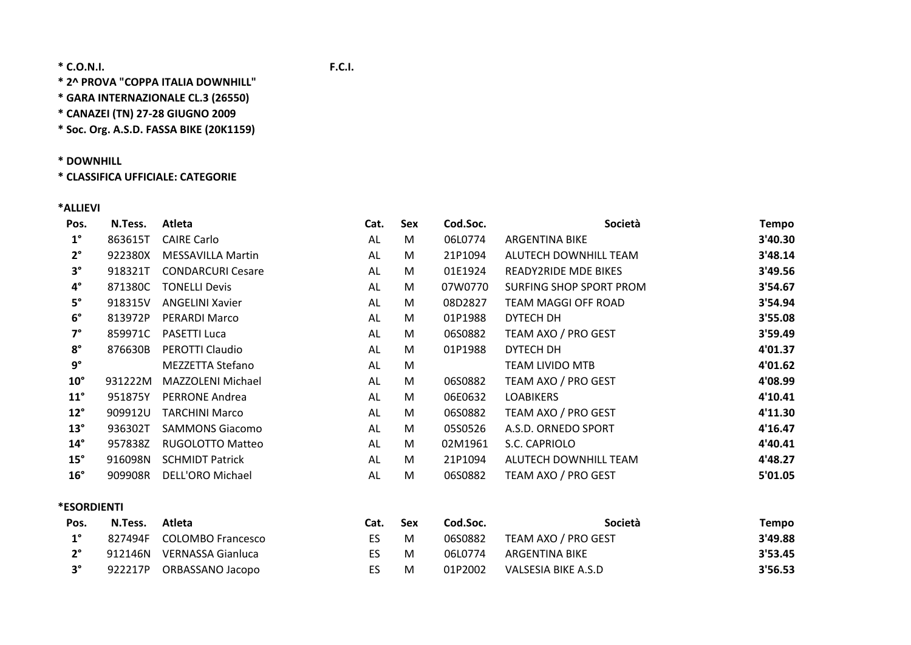**\* 2^ PROVA "COPPA ITALIA DOWNHILL"**

**\* GARA INTERNAZIONALE CL.3 (26550)**

**\* CANAZEI (TN) 27‐28 GIUGNO 2009**

**\* Soc. Org. A.S.D. FASSA BIKE (20K1159)**

### **\* DOWNHILL**

**\* CLASSIFICA UFFICIALE: CATEGORIE**

#### **\*ALLIEVI**

| Pos.               | N.Tess. | Atleta                   | Cat. | Sex | Cod.Soc. | Società                     | <b>Tempo</b> |
|--------------------|---------|--------------------------|------|-----|----------|-----------------------------|--------------|
| $1^{\circ}$        | 863615T | <b>CAIRE Carlo</b>       | AL   | M   | 06L0774  | ARGENTINA BIKE              | 3'40.30      |
| $2^{\circ}$        | 922380X | <b>MESSAVILLA Martin</b> | AL   | M   | 21P1094  | ALUTECH DOWNHILL TEAM       | 3'48.14      |
| $3^{\circ}$        | 918321T | <b>CONDARCURI Cesare</b> | AL   | M   | 01E1924  | <b>READY2RIDE MDE BIKES</b> | 3'49.56      |
| $4^{\circ}$        | 871380C | <b>TONELLI Devis</b>     | AL   | M   | 07W0770  | SURFING SHOP SPORT PROM     | 3'54.67      |
| $5^\circ$          | 918315V | <b>ANGELINI Xavier</b>   | AL   | M   | 08D2827  | <b>TEAM MAGGI OFF ROAD</b>  | 3'54.94      |
| $6^{\circ}$        | 813972P | PERARDI Marco            | AL   | M   | 01P1988  | DYTECH DH                   | 3'55.08      |
| $7^\circ$          | 859971C | <b>PASETTI Luca</b>      | AL   | M   | 06S0882  | TEAM AXO / PRO GEST         | 3'59.49      |
| $8^\circ$          | 876630B | PEROTTI Claudio          | AL   | M   | 01P1988  | DYTECH DH                   | 4'01.37      |
| $9^{\circ}$        |         | MEZZETTA Stefano         | AL   | M   |          | <b>TEAM LIVIDO MTB</b>      | 4'01.62      |
| $10^{\circ}$       | 931222M | MAZZOLENI Michael        | AL   | M   | 06S0882  | TEAM AXO / PRO GEST         | 4'08.99      |
| $11^{\circ}$       | 951875Y | PERRONE Andrea           | AL   | M   | 06E0632  | <b>LOABIKERS</b>            | 4'10.41      |
| $12^{\circ}$       | 909912U | <b>TARCHINI Marco</b>    | AL   | M   | 06S0882  | TEAM AXO / PRO GEST         | 4'11.30      |
| $13^\circ$         | 936302T | <b>SAMMONS Giacomo</b>   | AL   | M   | 05S0526  | A.S.D. ORNEDO SPORT         | 4'16.47      |
| $14^{\circ}$       | 957838Z | <b>RUGOLOTTO Matteo</b>  | AL   | M   | 02M1961  | S.C. CAPRIOLO               | 4'40.41      |
| $15^\circ$         | 916098N | <b>SCHMIDT Patrick</b>   | AL   | M   | 21P1094  | ALUTECH DOWNHILL TEAM       | 4'48.27      |
| $16^{\circ}$       | 909908R | <b>DELL'ORO Michael</b>  | AL   | M   | 06S0882  | TEAM AXO / PRO GEST         | 5'01.05      |
| <b>*ESORDIENTI</b> |         |                          |      |     |          |                             |              |
| Pos.               | N.Tess. | Atleta                   | Cat. | Sex | Cod.Soc. | Società                     | Tempo        |

| Pos.        | N.Tess. Atleta |                           | Cat. | <b>Sex</b> | Cod.Soc. | Societa                     | Tempo   |
|-------------|----------------|---------------------------|------|------------|----------|-----------------------------|---------|
| $1^{\circ}$ |                | 827494F COLOMBO Francesco | ES.  | M          |          | 06S0882 TEAM AXO / PRO GEST | 3'49.88 |
| $2^{\circ}$ |                | 912146N VERNASSA Gianluca | ES   | -M         |          | 06L0774 ARGENTINA BIKE      | 3'53.45 |
|             |                | 922217P ORBASSANO Jacopo  | ES.  | M          |          | 01P2002 VALSESIA BIKE A.S.D | 3'56.53 |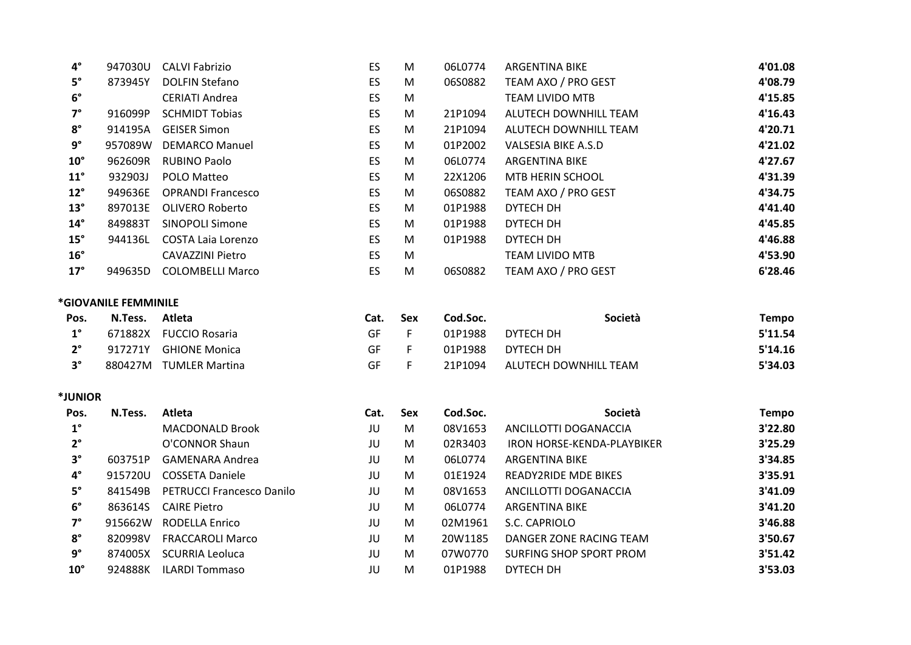| $4^{\circ}$          | 947030U              | <b>CALVI Fabrizio</b>            | ES        | M   | 06L0774  | <b>ARGENTINA BIKE</b>          | 4'01.08      |
|----------------------|----------------------|----------------------------------|-----------|-----|----------|--------------------------------|--------------|
| $5^{\circ}$          | 873945Y              | <b>DOLFIN Stefano</b>            | <b>ES</b> | M   | 06S0882  | TEAM AXO / PRO GEST            | 4'08.79      |
| $6^{\circ}$          |                      | <b>CERIATI Andrea</b>            | ES        | M   |          | <b>TEAM LIVIDO MTB</b>         | 4'15.85      |
| $7^\circ$            | 916099P              | <b>SCHMIDT Tobias</b>            | ES        | M   | 21P1094  | ALUTECH DOWNHILL TEAM          | 4'16.43      |
| $\rm 8^\circ$        | 914195A              | <b>GEISER Simon</b>              | ES        | M   | 21P1094  | ALUTECH DOWNHILL TEAM          | 4'20.71      |
| $9^{\circ}$          | 957089W              | <b>DEMARCO Manuel</b>            | ES        | M   | 01P2002  | <b>VALSESIA BIKE A.S.D</b>     | 4'21.02      |
| $10^{\circ}$         | 962609R              | <b>RUBINO Paolo</b>              | ES        | M   | 06L0774  | <b>ARGENTINA BIKE</b>          | 4'27.67      |
| $11^{\circ}$         | 932903J              | POLO Matteo                      | ES        | M   | 22X1206  | MTB HERIN SCHOOL               | 4'31.39      |
| $12^{\circ}$         | 949636E              | <b>OPRANDI Francesco</b>         | ES        | M   | 06S0882  | TEAM AXO / PRO GEST            | 4'34.75      |
| $13^\circ$           | 897013E              | <b>OLIVERO Roberto</b>           | ES        | M   | 01P1988  | DYTECH DH                      | 4'41.40      |
| $14^{\circ}$         | 849883T              | <b>SINOPOLI Simone</b>           | ES        | M   | 01P1988  | DYTECH DH                      | 4'45.85      |
| $15^\circ$           | 944136L              | <b>COSTA Laia Lorenzo</b>        | ES        | M   | 01P1988  | DYTECH DH                      | 4'46.88      |
| $16^{\circ}$         |                      | <b>CAVAZZINI Pietro</b>          | ES        | M   |          | <b>TEAM LIVIDO MTB</b>         | 4'53.90      |
| $17^\circ$           | 949635D              | <b>COLOMBELLI Marco</b>          | <b>ES</b> | M   | 06S0882  | TEAM AXO / PRO GEST            | 6'28.46      |
|                      | *GIOVANILE FEMMINILE |                                  |           |     |          |                                |              |
| Pos.                 | N.Tess.              | Atleta                           | Cat.      | Sex | Cod.Soc. | Società                        | <b>Tempo</b> |
| $\textbf{1}^{\circ}$ | 671882X              | <b>FUCCIO Rosaria</b>            | GF        | F   | 01P1988  | DYTECH DH                      | 5'11.54      |
| $2^{\circ}$          |                      | 917271Y GHIONE Monica            | GF        | F   | 01P1988  | DYTECH DH                      | 5'14.16      |
| $3^{\circ}$          |                      | 880427M TUMLER Martina           | GF        | F   | 21P1094  | ALUTECH DOWNHILL TEAM          | 5'34.03      |
| *JUNIOR              |                      |                                  |           |     |          |                                |              |
| Pos.                 | N.Tess.              | Atleta                           | Cat.      | Sex | Cod.Soc. | Società                        | <b>Tempo</b> |
| $\textbf{1}^{\circ}$ |                      | <b>MACDONALD Brook</b>           | JU        | M   | 08V1653  | ANCILLOTTI DOGANACCIA          | 3'22.80      |
| $2^{\circ}$          |                      | O'CONNOR Shaun                   | JU        | M   | 02R3403  | IRON HORSE-KENDA-PLAYBIKER     | 3'25.29      |
| $3^{\circ}$          | 603751P              | <b>GAMENARA Andrea</b>           | JU        | M   | 06L0774  | <b>ARGENTINA BIKE</b>          | 3'34.85      |
| $\mathbf{4}^{\circ}$ | 915720U              | <b>COSSETA Daniele</b>           | JU        | M   | 01E1924  | <b>READY2RIDE MDE BIKES</b>    | 3'35.91      |
| $5^\circ$            | 841549B              | <b>PETRUCCI Francesco Danilo</b> | JU        | M   | 08V1653  | ANCILLOTTI DOGANACCIA          | 3'41.09      |
| $\mathbf{6}^{\circ}$ | 863614S              | <b>CAIRE Pietro</b>              | JU        | M   | 06L0774  | <b>ARGENTINA BIKE</b>          | 3'41.20      |
| $7^\circ$            | 915662W              | <b>RODELLA Enrico</b>            | JU        | M   | 02M1961  | S.C. CAPRIOLO                  | 3'46.88      |
| $\rm 8^\circ$        | 820998V              | <b>FRACCAROLI Marco</b>          | JU        | M   | 20W1185  | DANGER ZONE RACING TEAM        | 3'50.67      |
| $9^{\circ}$          | 874005X              | <b>SCURRIA Leoluca</b>           | JU        | M   | 07W0770  | <b>SURFING SHOP SPORT PROM</b> | 3'51.42      |
| $10^{\circ}$         | 924888K              | <b>ILARDI Tommaso</b>            | JU        | M   | 01P1988  | DYTECH DH                      | 3'53.03      |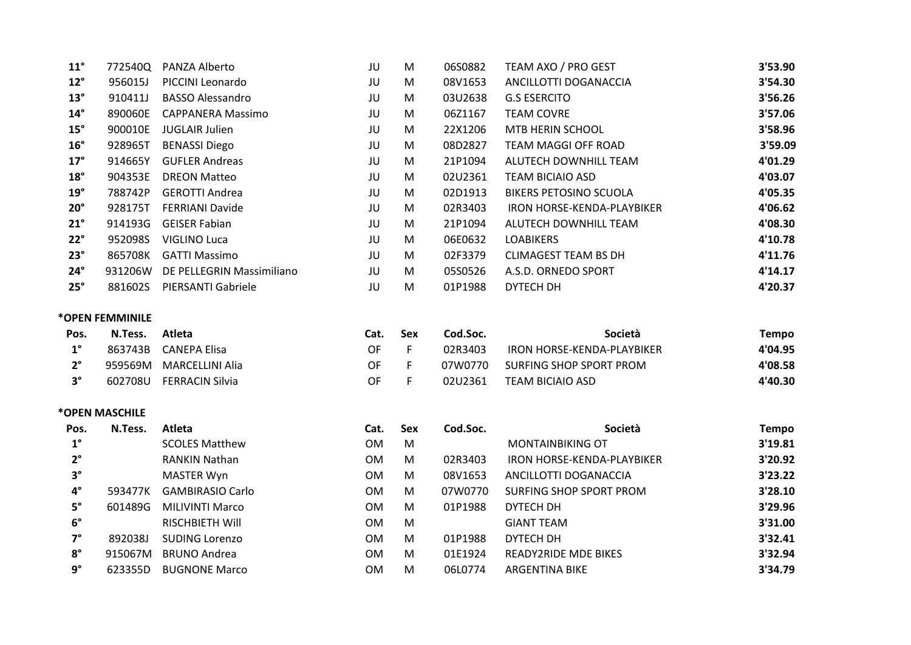| $11^{\circ}$ | 772540Q         | PANZA Alberto             | JU   | M   | 06S0882  | TEAM AXO / PRO GEST           | 3'53.90      |
|--------------|-----------------|---------------------------|------|-----|----------|-------------------------------|--------------|
| $12^{\circ}$ | 956015J         | PICCINI Leonardo          | JU   | M   | 08V1653  | ANCILLOTTI DOGANACCIA         | 3'54.30      |
| $13^\circ$   | 910411J         | <b>BASSO Alessandro</b>   | JU   | M   | 03U2638  | <b>G.S ESERCITO</b>           | 3'56.26      |
| $14^{\circ}$ | 890060E         | <b>CAPPANERA Massimo</b>  | JU   | M   | 06Z1167  | <b>TEAM COVRE</b>             | 3'57.06      |
| $15^\circ$   | 900010E         | <b>JUGLAIR Julien</b>     | JU   | M   | 22X1206  | MTB HERIN SCHOOL              | 3'58.96      |
| $16^{\circ}$ | 928965T         | <b>BENASSI Diego</b>      | JU   | M   | 08D2827  | TEAM MAGGI OFF ROAD           | 3'59.09      |
| $17^\circ$   | 914665Y         | <b>GUFLER Andreas</b>     | JU   | M   | 21P1094  | ALUTECH DOWNHILL TEAM         | 4'01.29      |
| $18^\circ$   | 904353E         | <b>DREON Matteo</b>       | JU   | M   | 02U2361  | <b>TEAM BICIAIO ASD</b>       | 4'03.07      |
| $19^\circ$   | 788742P         | <b>GEROTTI Andrea</b>     | JU   | M   | 02D1913  | <b>BIKERS PETOSINO SCUOLA</b> | 4'05.35      |
| $20^{\circ}$ | 928175T         | <b>FERRIANI Davide</b>    | JU   | M   | 02R3403  | IRON HORSE-KENDA-PLAYBIKER    | 4'06.62      |
| $21^\circ$   | 914193G         | <b>GEISER Fabian</b>      | JU   | M   | 21P1094  | ALUTECH DOWNHILL TEAM         | 4'08.30      |
| $22^\circ$   | 952098S         | VIGLINO Luca              | JU   | M   | 06E0632  | <b>LOABIKERS</b>              | 4'10.78      |
| $23^\circ$   | 865708K         | <b>GATTI Massimo</b>      | JU   | M   | 02F3379  | <b>CLIMAGEST TEAM BS DH</b>   | 4'11.76      |
| $24^\circ$   | 931206W         | DE PELLEGRIN Massimiliano | JU   | M   | 05S0526  | A.S.D. ORNEDO SPORT           | 4'14.17      |
| $25^\circ$   | 881602S         | PIERSANTI Gabriele        | JU   | M   | 01P1988  | DYTECH DH                     | 4'20.37      |
|              | *OPEN FEMMINILE |                           |      |     |          |                               |              |
| Pos.         | N.Tess.         | Atleta                    | Cat. | Sex | Cod.Soc. | Società                       | <b>Tempo</b> |
| $1^{\circ}$  | 863743B         | <b>CANEPA Elisa</b>       | OF   | F   | 02R3403  | IRON HORSE-KENDA-PLAYBIKER    | 4'04.95      |
| $2^{\circ}$  | 959569M         | <b>MARCELLINI Alia</b>    | OF   | F.  | 07W0770  | SURFING SHOP SPORT PROM       | 4'08.58      |

**3°** 602708U FERRACINSilvia OF F 02U2361 TEAM BICIAIO ASD **4'40.30**

### **\*OPEN MASCHILE**

| Pos.        | N.Tess. | Atleta                  | Cat.      | <b>Sex</b> | Cod.Soc. | Società                     | Tempo   |
|-------------|---------|-------------------------|-----------|------------|----------|-----------------------------|---------|
| $1^{\circ}$ |         | <b>SCOLES Matthew</b>   | <b>OM</b> | M          |          | <b>MONTAINBIKING OT</b>     | 3'19.81 |
| $2^{\circ}$ |         | <b>RANKIN Nathan</b>    | <b>OM</b> | M          | 02R3403  | IRON HORSE-KENDA-PLAYBIKER  | 3'20.92 |
| $3^\circ$   |         | MASTER Wyn              | <b>OM</b> | M          | 08V1653  | ANCILLOTTI DOGANACCIA       | 3'23.22 |
| $4^\circ$   | 593477K | <b>GAMBIRASIO Carlo</b> | <b>OM</b> | M          | 07W0770  | SURFING SHOP SPORT PROM     | 3'28.10 |
| $5^\circ$   | 601489G | <b>MILIVINTI Marco</b>  | <b>OM</b> | M          | 01P1988  | DYTECH DH                   | 3'29.96 |
| $6^{\circ}$ |         | <b>RISCHBIETH WIll</b>  | <b>OM</b> | M          |          | <b>GIANT TEAM</b>           | 3'31.00 |
| $7^\circ$   | 892038J | <b>SUDING Lorenzo</b>   | <b>OM</b> | M          | 01P1988  | DYTECH DH                   | 3'32.41 |
| $8^\circ$   | 915067M | <b>BRUNO Andrea</b>     | <b>OM</b> | M          | 01E1924  | <b>READY2RIDE MDE BIKES</b> | 3'32.94 |
| $9^{\circ}$ | 623355D | <b>BUGNONE Marco</b>    | <b>OM</b> | M          | 06L0774  | <b>ARGENTINA BIKE</b>       | 3'34.79 |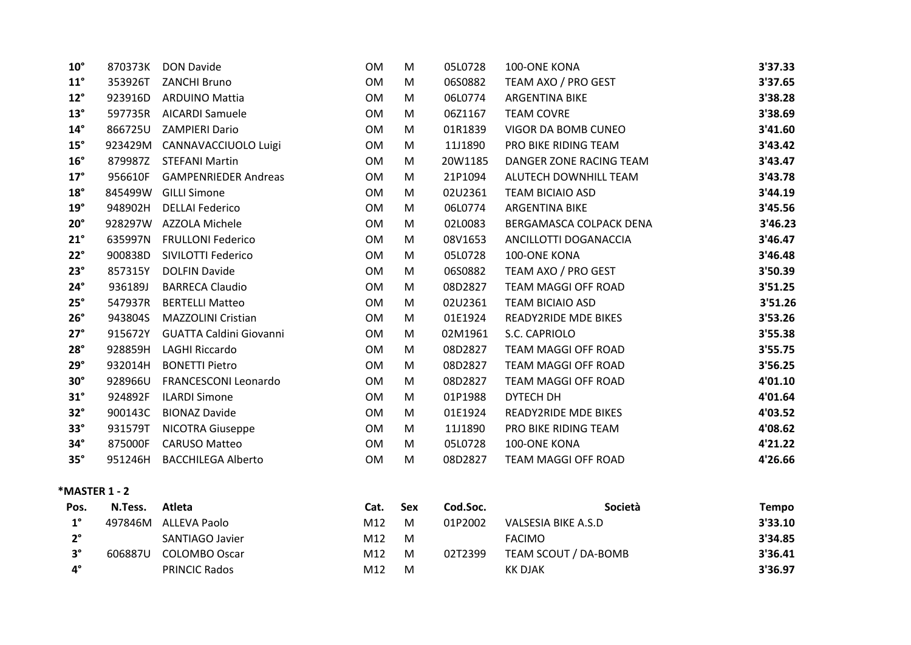| $10^{\circ}$ | 870373K | <b>DON Davide</b>              | <b>OM</b> | M | 05L0728 | 100-ONE KONA                | 3'37.33 |
|--------------|---------|--------------------------------|-----------|---|---------|-----------------------------|---------|
| $11^{\circ}$ | 353926T | <b>ZANCHI Bruno</b>            | <b>OM</b> | M | 06S0882 | TEAM AXO / PRO GEST         | 3'37.65 |
| $12^{\circ}$ | 923916D | <b>ARDUINO Mattia</b>          | <b>OM</b> | M | 06L0774 | ARGENTINA BIKE              | 3'38.28 |
| $13^\circ$   | 597735R | <b>AICARDI Samuele</b>         | <b>OM</b> | M | 06Z1167 | <b>TEAM COVRE</b>           | 3'38.69 |
| $14^{\circ}$ | 866725U | <b>ZAMPIERI Dario</b>          | <b>OM</b> | M | 01R1839 | VIGOR DA BOMB CUNEO         | 3'41.60 |
| $15^\circ$   | 923429M | CANNAVACCIUOLO Luigi           | 0M        | M | 11J1890 | PRO BIKE RIDING TEAM        | 3'43.42 |
| $16^{\circ}$ | 879987Z | <b>STEFANI Martin</b>          | <b>OM</b> | M | 20W1185 | DANGER ZONE RACING TEAM     | 3'43.47 |
| $17^\circ$   | 956610F | <b>GAMPENRIEDER Andreas</b>    | <b>OM</b> | M | 21P1094 | ALUTECH DOWNHILL TEAM       | 3'43.78 |
| $18^\circ$   | 845499W | <b>GILLI Simone</b>            | <b>OM</b> | M | 02U2361 | <b>TEAM BICIAIO ASD</b>     | 3'44.19 |
| $19^\circ$   | 948902H | <b>DELLAI Federico</b>         | <b>OM</b> | M | 06L0774 | ARGENTINA BIKE              | 3'45.56 |
| $20^\circ$   | 928297W | <b>AZZOLA Michele</b>          | <b>OM</b> | M | 02L0083 | BERGAMASCA COLPACK DENA     | 3'46.23 |
| $21^{\circ}$ | 635997N | <b>FRULLONI Federico</b>       | <b>OM</b> | M | 08V1653 | ANCILLOTTI DOGANACCIA       | 3'46.47 |
| $22^\circ$   | 900838D | SIVILOTTI Federico             | <b>OM</b> | M | 05L0728 | 100-ONE KONA                | 3'46.48 |
| $23^\circ$   | 857315Y | <b>DOLFIN Davide</b>           | <b>OM</b> | M | 06S0882 | TEAM AXO / PRO GEST         | 3'50.39 |
| $24^\circ$   | 936189J | <b>BARRECA Claudio</b>         | <b>OM</b> | M | 08D2827 | TEAM MAGGI OFF ROAD         | 3'51.25 |
| $25^\circ$   | 547937R | <b>BERTELLI Matteo</b>         | <b>OM</b> | M | 02U2361 | <b>TEAM BICIAIO ASD</b>     | 3'51.26 |
| $26^\circ$   | 943804S | <b>MAZZOLINI Cristian</b>      | <b>OM</b> | M | 01E1924 | <b>READY2RIDE MDE BIKES</b> | 3'53.26 |
| $27^\circ$   | 915672Y | <b>GUATTA Caldini Giovanni</b> | <b>OM</b> | M | 02M1961 | S.C. CAPRIOLO               | 3'55.38 |
| $28^\circ$   | 928859H | <b>LAGHI Riccardo</b>          | 0M        | M | 08D2827 | <b>TEAM MAGGI OFF ROAD</b>  | 3'55.75 |
| $29^\circ$   | 932014H | <b>BONETTI Pietro</b>          | <b>OM</b> | M | 08D2827 | TEAM MAGGI OFF ROAD         | 3'56.25 |
| $30^\circ$   | 928966U | <b>FRANCESCONI Leonardo</b>    | 0M        | M | 08D2827 | <b>TEAM MAGGI OFF ROAD</b>  | 4'01.10 |
| $31^\circ$   | 924892F | <b>ILARDI Simone</b>           | <b>OM</b> | M | 01P1988 | DYTECH DH                   | 4'01.64 |
| $32^\circ$   | 900143C | <b>BIONAZ Davide</b>           | <b>OM</b> | M | 01E1924 | <b>READY2RIDE MDE BIKES</b> | 4'03.52 |
| $33^\circ$   | 931579T | <b>NICOTRA Giuseppe</b>        | <b>OM</b> | M | 11J1890 | PRO BIKE RIDING TEAM        | 4'08.62 |
| $34^\circ$   | 875000F | <b>CARUSO Matteo</b>           | <b>OM</b> | M | 05L0728 | 100-ONE KONA                | 4'21.22 |
| $35^\circ$   | 951246H | <b>BACCHILEGA Alberto</b>      | OM        | M | 08D2827 | TEAM MAGGI OFF ROAD         | 4'26.66 |

# **\*MASTER 1 ‐ 2**

| Pos.                 | N.Tess. | Atleta               | Cat. | Sex | Cod.Soc. | <b>Società</b>       | Tempo   |
|----------------------|---------|----------------------|------|-----|----------|----------------------|---------|
| $1^{\circ}$          | 497846M | ALLEVA Paolo         | M12  | M   | 01P2002  | VALSESIA BIKE A.S.D  | 3'33.10 |
| າ°                   |         | SANTIAGO Javier      | M12  | M   |          | <b>FACIMO</b>        | 3'34.85 |
| າ                    | 606887U | COLOMBO Oscar        | M12  | M   | 02T2399  | TEAM SCOUT / DA-BOMB | 3'36.41 |
| $\mathbf{A}^{\circ}$ |         | <b>PRINCIC Rados</b> | M12  | м   |          | KK DJAK              | 3'36.97 |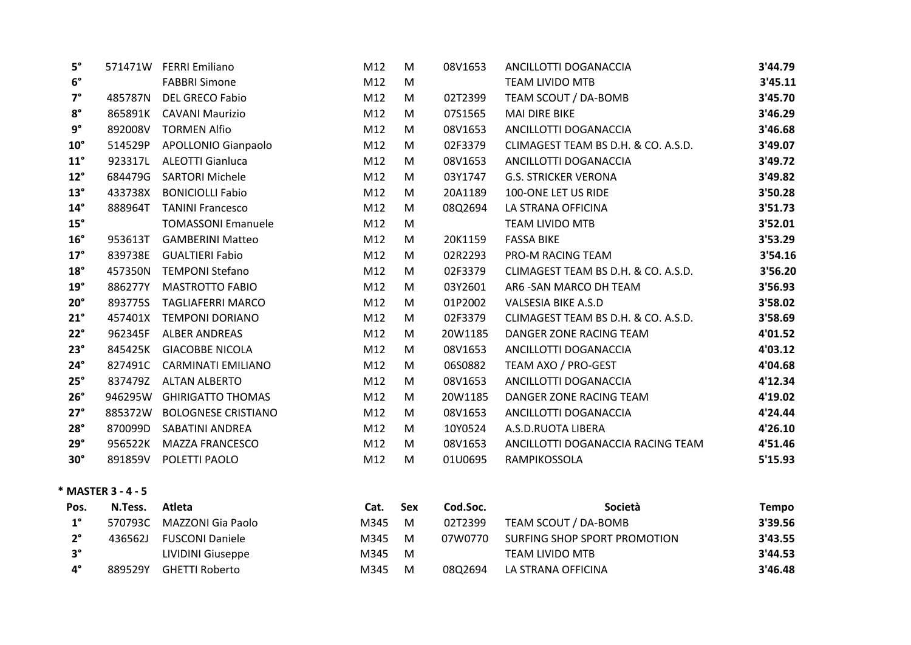| $5^\circ$    | 571471W | <b>FERRI Emiliano</b>      | M12 | M | 08V1653 | ANCILLOTTI DOGANACCIA               | 3'44.79 |
|--------------|---------|----------------------------|-----|---|---------|-------------------------------------|---------|
| $6^{\circ}$  |         | <b>FABBRI Simone</b>       | M12 | M |         | <b>TEAM LIVIDO MTB</b>              | 3'45.11 |
| $7^\circ$    | 485787N | <b>DEL GRECO Fabio</b>     | M12 | M | 02T2399 | TEAM SCOUT / DA-BOMB                | 3'45.70 |
| $8^{\circ}$  | 865891K | <b>CAVANI Maurizio</b>     | M12 | M | 07S1565 | <b>MAI DIRE BIKE</b>                | 3'46.29 |
| $9^{\circ}$  | 892008V | <b>TORMEN Alfio</b>        | M12 | M | 08V1653 | ANCILLOTTI DOGANACCIA               | 3'46.68 |
| $10^{\circ}$ | 514529P | <b>APOLLONIO Gianpaolo</b> | M12 | M | 02F3379 | CLIMAGEST TEAM BS D.H. & CO. A.S.D. | 3'49.07 |
| $11^{\circ}$ | 923317L | <b>ALEOTTI Gianluca</b>    | M12 | M | 08V1653 | ANCILLOTTI DOGANACCIA               | 3'49.72 |
| $12^{\circ}$ | 684479G | <b>SARTORI Michele</b>     | M12 | M | 03Y1747 | <b>G.S. STRICKER VERONA</b>         | 3'49.82 |
| $13^\circ$   | 433738X | <b>BONICIOLLI Fabio</b>    | M12 | M | 20A1189 | 100-ONE LET US RIDE                 | 3'50.28 |
| $14^{\circ}$ | 888964T | <b>TANINI Francesco</b>    | M12 | M | 08Q2694 | LA STRANA OFFICINA                  | 3'51.73 |
| $15^\circ$   |         | <b>TOMASSONI Emanuele</b>  | M12 | M |         | <b>TEAM LIVIDO MTB</b>              | 3'52.01 |
| $16^{\circ}$ | 953613T | <b>GAMBERINI Matteo</b>    | M12 | M | 20K1159 | <b>FASSA BIKE</b>                   | 3'53.29 |
| $17^\circ$   | 839738E | <b>GUALTIERI Fabio</b>     | M12 | M | 02R2293 | PRO-M RACING TEAM                   | 3'54.16 |
| $18^\circ$   | 457350N | <b>TEMPONI Stefano</b>     | M12 | M | 02F3379 | CLIMAGEST TEAM BS D.H. & CO. A.S.D. | 3'56.20 |
| $19^\circ$   | 886277Y | <b>MASTROTTO FABIO</b>     | M12 | M | 03Y2601 | AR6 - SAN MARCO DH TEAM             | 3'56.93 |
| $20^\circ$   | 893775S | <b>TAGLIAFERRI MARCO</b>   | M12 | M | 01P2002 | <b>VALSESIA BIKE A.S.D</b>          | 3'58.02 |
| $21^\circ$   | 457401X | <b>TEMPONI DORIANO</b>     | M12 | M | 02F3379 | CLIMAGEST TEAM BS D.H. & CO. A.S.D. | 3'58.69 |
| $22^\circ$   | 962345F | <b>ALBER ANDREAS</b>       | M12 | M | 20W1185 | DANGER ZONE RACING TEAM             | 4'01.52 |
| $23^\circ$   | 845425K | <b>GIACOBBE NICOLA</b>     | M12 | M | 08V1653 | ANCILLOTTI DOGANACCIA               | 4'03.12 |
| $24^\circ$   | 827491C | <b>CARMINATI EMILIANO</b>  | M12 | M | 06S0882 | TEAM AXO / PRO-GEST                 | 4'04.68 |
| $25^\circ$   | 837479Z | <b>ALTAN ALBERTO</b>       | M12 | M | 08V1653 | ANCILLOTTI DOGANACCIA               | 4'12.34 |
| $26^\circ$   | 946295W | <b>GHIRIGATTO THOMAS</b>   | M12 | M | 20W1185 | DANGER ZONE RACING TEAM             | 4'19.02 |
| $27^\circ$   | 885372W | <b>BOLOGNESE CRISTIANO</b> | M12 | M | 08V1653 | ANCILLOTTI DOGANACCIA               | 4'24.44 |
| $28^\circ$   | 870099D | SABATINI ANDREA            | M12 | M | 10Y0524 | A.S.D.RUOTA LIBERA                  | 4'26.10 |
| $29^\circ$   | 956522K | <b>MAZZA FRANCESCO</b>     | M12 | M | 08V1653 | ANCILLOTTI DOGANACCIA RACING TEAM   | 4'51.46 |
| $30^\circ$   | 891859V | POLETTI PAOLO              | M12 | M | 01U0695 | RAMPIKOSSOLA                        | 5'15.93 |
|              |         |                            |     |   |         |                                     |         |

**\* MASTER 3 ‐ 4 ‐ 5**

| Pos.        | N.Tess. | Atleta                 | Cat. | <b>Sex</b> | Cod.Soc. | Società                      | Tempo   |
|-------------|---------|------------------------|------|------------|----------|------------------------------|---------|
| $1^{\circ}$ | 570793C | MAZZONI Gia Paolo      | M345 | M          | 02T2399  | TEAM SCOUT / DA-BOMB         | 3'39.56 |
| $2^{\circ}$ | 436562J | <b>FUSCONI Daniele</b> | M345 | M          | 07W0770  | SURFING SHOP SPORT PROMOTION | 3'43.55 |
| $3^{\circ}$ |         | LIVIDINI Giuseppe      | M345 | M          |          | TEAM LIVIDO MTB              | 3'44.53 |
| $4^{\circ}$ | 889529Y | <b>GHETTI Roberto</b>  | M345 | M          | 0802694  | LA STRANA OFFICINA           | 3'46.48 |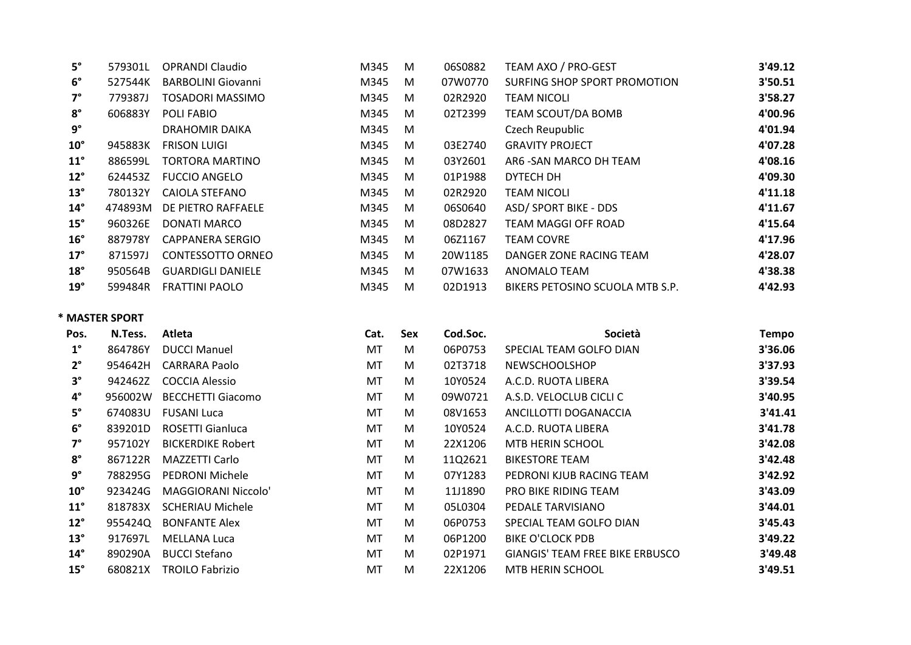| $5^\circ$    | 579301L | <b>OPRANDI Claudio</b>    | M345 | M | 06S0882 | TEAM AXO / PRO-GEST             | 3'49.12 |
|--------------|---------|---------------------------|------|---|---------|---------------------------------|---------|
| $6^{\circ}$  | 527544K | <b>BARBOLINI Giovanni</b> | M345 | M | 07W0770 | SURFING SHOP SPORT PROMOTION    | 3'50.51 |
| $7^\circ$    | 779387J | <b>TOSADORI MASSIMO</b>   | M345 | M | 02R2920 | <b>TEAM NICOLI</b>              | 3'58.27 |
| $8^\circ$    | 606883Y | POLI FABIO                | M345 | M | 02T2399 | TEAM SCOUT/DA BOMB              | 4'00.96 |
| $9^{\circ}$  |         | <b>DRAHOMIR DAIKA</b>     | M345 | M |         | Czech Reupublic                 | 4'01.94 |
| $10^{\circ}$ | 945883K | <b>FRISON LUIGI</b>       | M345 | M | 03E2740 | <b>GRAVITY PROJECT</b>          | 4'07.28 |
| $11^{\circ}$ | 886599L | TORTORA MARTINO           | M345 | M | 03Y2601 | AR6 - SAN MARCO DH TEAM         | 4'08.16 |
| $12^{\circ}$ | 624453Z | <b>FUCCIO ANGELO</b>      | M345 | M | 01P1988 | DYTECH DH                       | 4'09.30 |
| $13^{\circ}$ | 780132Y | <b>CAIOLA STEFANO</b>     | M345 | M | 02R2920 | <b>TEAM NICOLI</b>              | 4'11.18 |
| $14^{\circ}$ | 474893M | DE PIETRO RAFFAELE        | M345 | M | 06S0640 | <b>ASD/ SPORT BIKE - DDS</b>    | 4'11.67 |
| $15^\circ$   | 960326E | DONATI MARCO              | M345 | M | 08D2827 | TEAM MAGGI OFF ROAD             | 4'15.64 |
| $16^{\circ}$ | 887978Y | CAPPANERA SERGIO          | M345 | M | 06Z1167 | <b>TEAM COVRE</b>               | 4'17.96 |
| $17^\circ$   | 871597J | <b>CONTESSOTTO ORNEO</b>  | M345 | M | 20W1185 | DANGER ZONE RACING TEAM         | 4'28.07 |
| $18^\circ$   | 950564B | <b>GUARDIGLI DANIELE</b>  | M345 | M | 07W1633 | <b>ANOMALO TEAM</b>             | 4'38.38 |
| $19^{\circ}$ | 599484R | <b>FRATTINI PAOLO</b>     | M345 | M | 02D1913 | BIKERS PETOSINO SCUOLA MTB S.P. | 4'42.93 |

#### **\* MASTER SPORT**

| Pos.         | N.Tess. | Atleta                   | Cat. | Sex | Cod.Soc. | Società                                | <b>Tempo</b> |
|--------------|---------|--------------------------|------|-----|----------|----------------------------------------|--------------|
| $1^{\circ}$  | 864786Y | <b>DUCCI Manuel</b>      | МT   | M   | 06P0753  | SPECIAL TEAM GOLFO DIAN                | 3'36.06      |
| $2^{\circ}$  | 954642H | CARRARA Paolo            | MT   | M   | 02T3718  | <b>NEWSCHOOLSHOP</b>                   | 3'37.93      |
| $3^{\circ}$  | 942462Z | <b>COCCIA Alessio</b>    | MT   | M   | 10Y0524  | A.C.D. RUOTA LIBERA                    | 3'39.54      |
| $4^{\circ}$  | 956002W | <b>BECCHETTI Giacomo</b> | MT   | M   | 09W0721  | A.S.D. VELOCLUB CICLI C                | 3'40.95      |
| $5^{\circ}$  | 674083U | <b>FUSANI Luca</b>       | MT   | M   | 08V1653  | ANCILLOTTI DOGANACCIA                  | 3'41.41      |
| $6^{\circ}$  | 839201D | ROSETTI Gianluca         | MT   | M   | 10Y0524  | A.C.D. RUOTA LIBERA                    | 3'41.78      |
| $7^\circ$    | 957102Y | <b>BICKERDIKE Robert</b> | MT   | M   | 22X1206  | MTB HERIN SCHOOL                       | 3'42.08      |
| $8^\circ$    | 867122R | MAZZETTI Carlo           | MT   | M   | 11Q2621  | <b>BIKESTORE TEAM</b>                  | 3'42.48      |
| $9^{\circ}$  | 788295G | <b>PEDRONI Michele</b>   | MT   | M   | 07Y1283  | PEDRONI KJUB RACING TEAM               | 3'42.92      |
| $10^{\circ}$ | 923424G | MAGGIORANI Niccolo'      | MT   | M   | 11J1890  | PRO BIKE RIDING TEAM                   | 3'43.09      |
| $11^{\circ}$ | 818783X | <b>SCHERIAU Michele</b>  | MT   | M   | 05L0304  | PEDALE TARVISIANO                      | 3'44.01      |
| $12^{\circ}$ | 955424Q | <b>BONFANTE Alex</b>     | MT   | M   | 06P0753  | SPECIAL TEAM GOLFO DIAN                | 3'45.43      |
| $13^\circ$   | 917697L | <b>MELLANA Luca</b>      | MT   | M   | 06P1200  | <b>BIKE O'CLOCK PDB</b>                | 3'49.22      |
| $14^{\circ}$ | 890290A | <b>BUCCI Stefano</b>     | MT   | M   | 02P1971  | <b>GIANGIS' TEAM FREE BIKE ERBUSCO</b> | 3'49.48      |
| $15^\circ$   | 680821X | <b>TROILO Fabrizio</b>   | MT   | M   | 22X1206  | <b>MTB HERIN SCHOOL</b>                | 3'49.51      |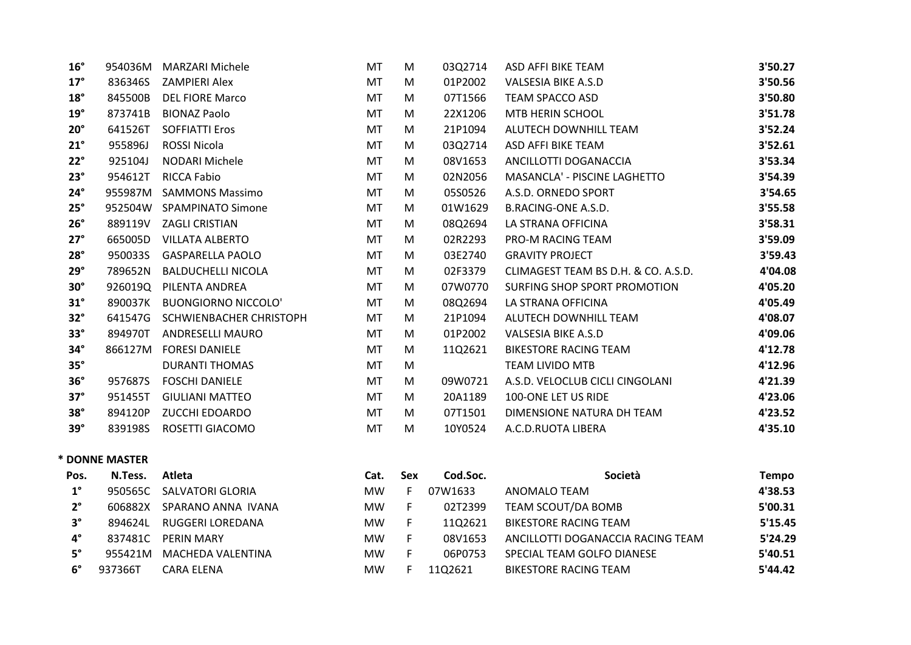| $16^{\circ}$ | 954036M | MARZARI Michele            | MT        | M | 03Q2714 | ASD AFFI BIKE TEAM                  | 3'50.27 |
|--------------|---------|----------------------------|-----------|---|---------|-------------------------------------|---------|
| $17^\circ$   | 836346S | <b>ZAMPIERI Alex</b>       | MT        | M | 01P2002 | VALSESIA BIKE A.S.D                 | 3'50.56 |
| $18^{\circ}$ | 845500B | <b>DEL FIORE Marco</b>     | MT        | M | 07T1566 | <b>TEAM SPACCO ASD</b>              | 3'50.80 |
| $19^{\circ}$ | 873741B | <b>BIONAZ Paolo</b>        | MT        | M | 22X1206 | <b>MTB HERIN SCHOOL</b>             | 3'51.78 |
| $20^{\circ}$ | 641526T | <b>SOFFIATTI Eros</b>      | MT        | M | 21P1094 | ALUTECH DOWNHILL TEAM               | 3'52.24 |
| $21^{\circ}$ | 955896J | ROSSI Nicola               | MT        | M | 03Q2714 | ASD AFFI BIKE TEAM                  | 3'52.61 |
| $22^\circ$   | 925104J | NODARI Michele             | MT        | M | 08V1653 | ANCILLOTTI DOGANACCIA               | 3'53.34 |
| $23^\circ$   | 954612T | RICCA Fabio                | MT        | M | 02N2056 | MASANCLA' - PISCINE LAGHETTO        | 3'54.39 |
| $24^\circ$   | 955987M | <b>SAMMONS Massimo</b>     | <b>MT</b> | M | 05S0526 | A.S.D. ORNEDO SPORT                 | 3'54.65 |
| $25^\circ$   | 952504W | <b>SPAMPINATO Simone</b>   | <b>MT</b> | M | 01W1629 | <b>B.RACING-ONE A.S.D.</b>          | 3'55.58 |
| $26^\circ$   | 889119V | ZAGLI CRISTIAN             | MT        | M | 08Q2694 | LA STRANA OFFICINA                  | 3'58.31 |
| $27^\circ$   | 665005D | <b>VILLATA ALBERTO</b>     | MT        | M | 02R2293 | <b>PRO-M RACING TEAM</b>            | 3'59.09 |
| $28^\circ$   | 950033S | <b>GASPARELLA PAOLO</b>    | <b>MT</b> | M | 03E2740 | <b>GRAVITY PROJECT</b>              | 3'59.43 |
| $29^\circ$   | 789652N | <b>BALDUCHELLI NICOLA</b>  | MT        | M | 02F3379 | CLIMAGEST TEAM BS D.H. & CO. A.S.D. | 4'04.08 |
| $30^\circ$   | 926019Q | PILENTA ANDREA             | MT        | M | 07W0770 | SURFING SHOP SPORT PROMOTION        | 4'05.20 |
| $31^\circ$   | 890037K | <b>BUONGIORNO NICCOLO'</b> | MT        | M | 08Q2694 | LA STRANA OFFICINA                  | 4'05.49 |
| $32^\circ$   | 641547G | SCHWIENBACHER CHRISTOPH    | <b>MT</b> | M | 21P1094 | ALUTECH DOWNHILL TEAM               | 4'08.07 |
| $33^\circ$   | 894970T | ANDRESELLI MAURO           | MT        | M | 01P2002 | <b>VALSESIA BIKE A.S.D</b>          | 4'09.06 |
| $34^\circ$   | 866127M | <b>FORESI DANIELE</b>      | MT        | M | 11Q2621 | <b>BIKESTORE RACING TEAM</b>        | 4'12.78 |
| $35^\circ$   |         | <b>DURANTI THOMAS</b>      | MT        | M |         | <b>TEAM LIVIDO MTB</b>              | 4'12.96 |
| $36^\circ$   | 957687S | <b>FOSCHI DANIELE</b>      | MT        | M | 09W0721 | A.S.D. VELOCLUB CICLI CINGOLANI     | 4'21.39 |
| $37^\circ$   | 951455T | <b>GIULIANI MATTEO</b>     | MT        | M | 20A1189 | 100-ONE LET US RIDE                 | 4'23.06 |
| $38^\circ$   | 894120P | <b>ZUCCHI EDOARDO</b>      | MT        | M | 07T1501 | DIMENSIONE NATURA DH TEAM           | 4'23.52 |
| $39^\circ$   | 839198S | ROSETTI GIACOMO            | MT        | M | 10Y0524 | A.C.D.RUOTA LIBERA                  | 4'35.10 |

#### **\* DONNE MASTER**

| Pos.        | N.Tess. | Atleta             | Cat.      | Sex | Cod.Soc. | Società                           | <b>Tempo</b> |
|-------------|---------|--------------------|-----------|-----|----------|-----------------------------------|--------------|
| $1^{\circ}$ | 950565C | SALVATORI GLORIA   | <b>MW</b> |     | 07W1633  | ANOMALO TEAM                      | 4'38.53      |
| $2^{\circ}$ | 606882X | SPARANO ANNA IVANA | MW.       |     | 02T2399  | TEAM SCOUT/DA BOMB                | 5'00.31      |
| $3^{\circ}$ | 894624L | RUGGERI LOREDANA   | MW.       |     | 1102621  | BIKESTORE RACING TEAM             | 5'15.45      |
| 4°          | 837481C | PERIN MARY         | MW.       |     | 08V1653  | ANCILLOTTI DOGANACCIA RACING TEAM | 5'24.29      |
| $5^\circ$   | 955421M | MACHEDA VALENTINA  | MW.       |     | 06P0753  | SPECIAL TEAM GOLFO DIANESE        | 5'40.51      |
| 6°          | 937366T | CARA ELENA         | <b>MW</b> |     | 1102621  | BIKESTORE RACING TEAM             | 5'44.42      |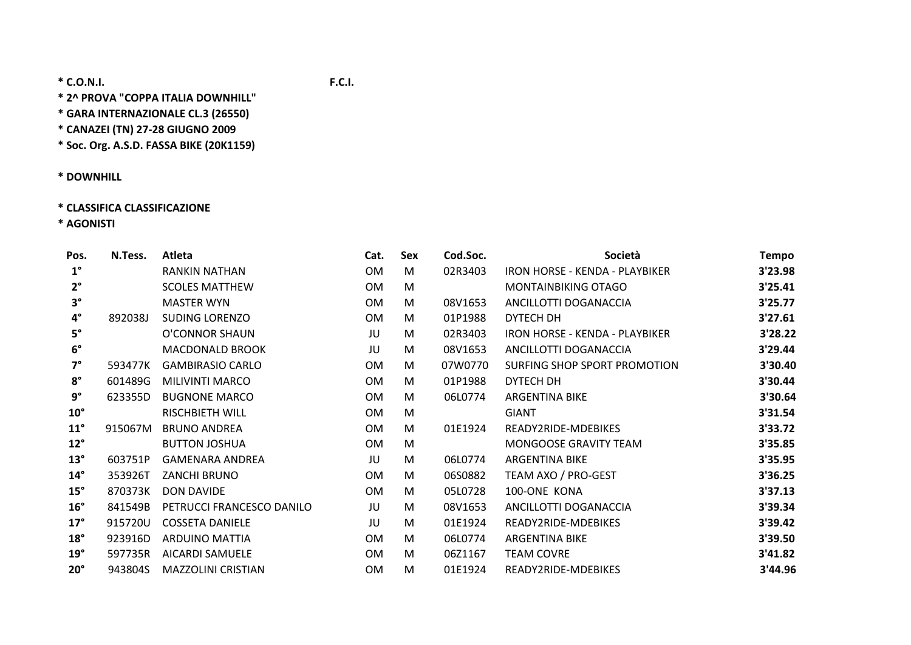**\* 2^ PROVA "COPPA ITALIA DOWNHILL"**

**\* GARA INTERNAZIONALE CL.3 (26550)**

**\* CANAZEI (TN) 27‐28 GIUGNO 2009**

**\* Soc. Org. A.S.D. FASSA BIKE (20K1159)**

**\* DOWNHILL**

## **\* CLASSIFICA CLASSIFICAZIONE**

**\* AGONISTI**

| Pos.         | N.Tess. | Atleta                    | Cat.      | Sex | Cod.Soc. | Società                        | <b>Tempo</b> |
|--------------|---------|---------------------------|-----------|-----|----------|--------------------------------|--------------|
| $1^{\circ}$  |         | RANKIN NATHAN             | <b>OM</b> | M   | 02R3403  | IRON HORSE - KENDA - PLAYBIKER | 3'23.98      |
| $2^{\circ}$  |         | <b>SCOLES MATTHEW</b>     | 0M        | M   |          | MONTAINBIKING OTAGO            | 3'25.41      |
| $3^{\circ}$  |         | <b>MASTER WYN</b>         | <b>OM</b> | M   | 08V1653  | ANCILLOTTI DOGANACCIA          | 3'25.77      |
| $4^{\circ}$  | 892038J | <b>SUDING LORENZO</b>     | <b>OM</b> | M   | 01P1988  | <b>DYTECH DH</b>               | 3'27.61      |
| $5^\circ$    |         | O'CONNOR SHAUN            | JU        | M   | 02R3403  | IRON HORSE - KENDA - PLAYBIKER | 3'28.22      |
| $6^{\circ}$  |         | <b>MACDONALD BROOK</b>    | JU        | M   | 08V1653  | ANCILLOTTI DOGANACCIA          | 3'29.44      |
| $7^\circ$    | 593477K | <b>GAMBIRASIO CARLO</b>   | 0M        | M   | 07W0770  | SURFING SHOP SPORT PROMOTION   | 3'30.40      |
| $8^\circ$    | 601489G | <b>MILIVINTI MARCO</b>    | <b>OM</b> | M   | 01P1988  | DYTECH DH                      | 3'30.44      |
| $9^{\circ}$  | 623355D | <b>BUGNONE MARCO</b>      | <b>OM</b> | M   | 06L0774  | <b>ARGENTINA BIKE</b>          | 3'30.64      |
| $10^{\circ}$ |         | RISCHBIETH WILL           | <b>OM</b> | M   |          | <b>GIANT</b>                   | 3'31.54      |
| $11^{\circ}$ | 915067M | <b>BRUNO ANDREA</b>       | <b>OM</b> | M   | 01E1924  | READY2RIDE-MDEBIKES            | 3'33.72      |
| $12^{\circ}$ |         | <b>BUTTON JOSHUA</b>      | 0M        | M   |          | MONGOOSE GRAVITY TEAM          | 3'35.85      |
| $13^\circ$   | 603751P | <b>GAMENARA ANDREA</b>    | JU        | M   | 06L0774  | <b>ARGENTINA BIKE</b>          | 3'35.95      |
| $14^{\circ}$ | 353926T | ZANCHI BRUNO              | <b>OM</b> | M   | 06S0882  | TEAM AXO / PRO-GEST            | 3'36.25      |
| $15^\circ$   | 870373K | DON DAVIDE                | <b>OM</b> | M   | 05L0728  | 100-ONE KONA                   | 3'37.13      |
| $16^{\circ}$ | 841549B | PETRUCCI FRANCESCO DANILO | JU        | M   | 08V1653  | ANCILLOTTI DOGANACCIA          | 3'39.34      |
| $17^\circ$   | 915720U | <b>COSSETA DANIELE</b>    | JU        | M   | 01E1924  | READY2RIDE-MDEBIKES            | 3'39.42      |
| $18^\circ$   | 923916D | <b>ARDUINO MATTIA</b>     | 0M        | M   | 06L0774  | <b>ARGENTINA BIKE</b>          | 3'39.50      |
| $19^\circ$   | 597735R | AICARDI SAMUELE           | <b>OM</b> | M   | 06Z1167  | <b>TEAM COVRE</b>              | 3'41.82      |
| $20^{\circ}$ | 943804S | <b>MAZZOLINI CRISTIAN</b> | <b>OM</b> | M   | 01E1924  | READY2RIDE-MDEBIKES            | 3'44.96      |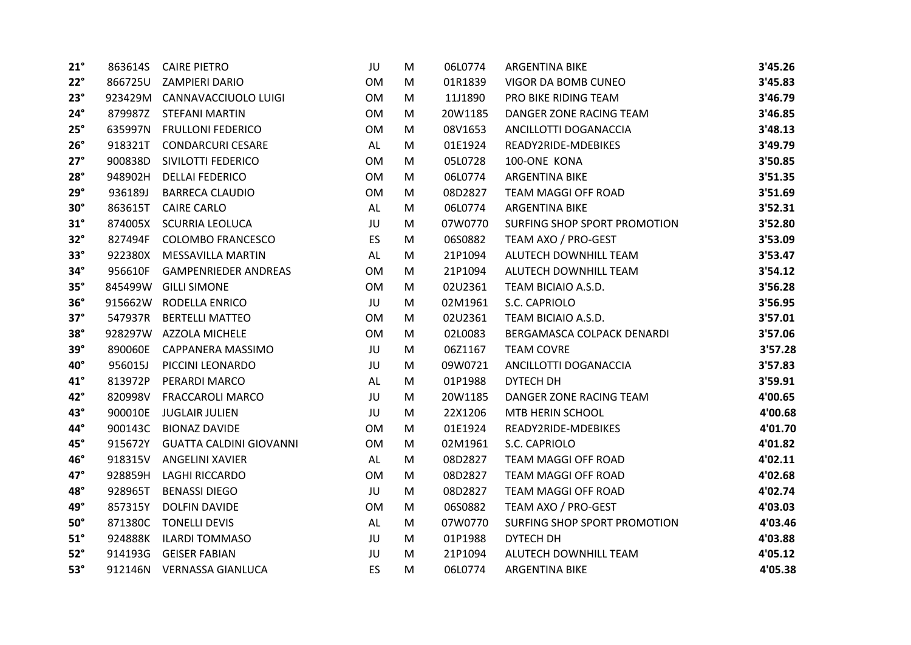| $21^\circ$ |         | 863614S CAIRE PIETRO           | JU        | M | 06L0774 | <b>ARGENTINA BIKE</b>        | 3'45.26 |
|------------|---------|--------------------------------|-----------|---|---------|------------------------------|---------|
| $22^\circ$ |         | 866725U ZAMPIERI DARIO         | <b>OM</b> | M | 01R1839 | VIGOR DA BOMB CUNEO          | 3'45.83 |
| $23^\circ$ |         | 923429M CANNAVACCIUOLO LUIGI   | OM        | M | 11J1890 | PRO BIKE RIDING TEAM         | 3'46.79 |
| $24^\circ$ |         | 879987Z STEFANI MARTIN         | OM        | M | 20W1185 | DANGER ZONE RACING TEAM      | 3'46.85 |
| $25^\circ$ | 635997N | <b>FRULLONI FEDERICO</b>       | OM        | M | 08V1653 | ANCILLOTTI DOGANACCIA        | 3'48.13 |
| $26^\circ$ | 918321T | <b>CONDARCURI CESARE</b>       | AL        | M | 01E1924 | READY2RIDE-MDEBIKES          | 3'49.79 |
| $27^\circ$ | 900838D | SIVILOTTI FEDERICO             | OM        | M | 05L0728 | 100-ONE KONA                 | 3'50.85 |
| $28^\circ$ | 948902H | <b>DELLAI FEDERICO</b>         | OM        | M | 06L0774 | <b>ARGENTINA BIKE</b>        | 3'51.35 |
| $29^\circ$ | 936189J | <b>BARRECA CLAUDIO</b>         | OM        | M | 08D2827 | TEAM MAGGI OFF ROAD          | 3'51.69 |
| $30^\circ$ | 863615T | <b>CAIRE CARLO</b>             | AL        | M | 06L0774 | <b>ARGENTINA BIKE</b>        | 3'52.31 |
| $31^\circ$ |         | 874005X SCURRIA LEOLUCA        | JU        | M | 07W0770 | SURFING SHOP SPORT PROMOTION | 3'52.80 |
| $32^\circ$ |         | 827494F COLOMBO FRANCESCO      | <b>ES</b> | M | 06S0882 | TEAM AXO / PRO-GEST          | 3'53.09 |
| $33^\circ$ | 922380X | <b>MESSAVILLA MARTIN</b>       | AL        | M | 21P1094 | ALUTECH DOWNHILL TEAM        | 3'53.47 |
| $34^\circ$ | 956610F | <b>GAMPENRIEDER ANDREAS</b>    | <b>OM</b> | M | 21P1094 | ALUTECH DOWNHILL TEAM        | 3'54.12 |
| $35^\circ$ |         | 845499W GILLI SIMONE           | OM        | M | 02U2361 | TEAM BICIAIO A.S.D.          | 3'56.28 |
| $36^\circ$ |         | 915662W RODELLA ENRICO         | JU        | M | 02M1961 | S.C. CAPRIOLO                | 3'56.95 |
| $37^\circ$ | 547937R | <b>BERTELLI MATTEO</b>         | <b>OM</b> | M | 02U2361 | TEAM BICIAIO A.S.D.          | 3'57.01 |
| $38^\circ$ |         | 928297W AZZOLA MICHELE         | OM        | M | 02L0083 | BERGAMASCA COLPACK DENARDI   | 3'57.06 |
| $39^\circ$ |         | 890060E CAPPANERA MASSIMO      | JU        | M | 06Z1167 | <b>TEAM COVRE</b>            | 3'57.28 |
| 40°        | 956015J | PICCINI LEONARDO               | JU        | M | 09W0721 | ANCILLOTTI DOGANACCIA        | 3'57.83 |
| $41^\circ$ | 813972P | PERARDI MARCO                  | AL        | M | 01P1988 | DYTECH DH                    | 3'59.91 |
| 42°        | 820998V | <b>FRACCAROLI MARCO</b>        | JU        | M | 20W1185 | DANGER ZONE RACING TEAM      | 4'00.65 |
| 43°        | 900010E | <b>JUGLAIR JULIEN</b>          | JU        | M | 22X1206 | MTB HERIN SCHOOL             | 4'00.68 |
| 44°        | 900143C | <b>BIONAZ DAVIDE</b>           | <b>OM</b> | M | 01E1924 | READY2RIDE-MDEBIKES          | 4'01.70 |
| 45°        | 915672Y | <b>GUATTA CALDINI GIOVANNI</b> | OM        | M | 02M1961 | S.C. CAPRIOLO                | 4'01.82 |
| 46°        | 918315V | ANGELINI XAVIER                | AL        | M | 08D2827 | TEAM MAGGI OFF ROAD          | 4'02.11 |
| 47°        | 928859H | <b>LAGHI RICCARDO</b>          | OM        | M | 08D2827 | TEAM MAGGI OFF ROAD          | 4'02.68 |
| 48°        | 928965T | <b>BENASSI DIEGO</b>           | JU        | M | 08D2827 | TEAM MAGGI OFF ROAD          | 4'02.74 |
| 49°        | 857315Y | <b>DOLFIN DAVIDE</b>           | <b>OM</b> | M | 06S0882 | TEAM AXO / PRO-GEST          | 4'03.03 |
| $50^\circ$ |         | 871380C TONELLI DEVIS          | AL        | M | 07W0770 | SURFING SHOP SPORT PROMOTION | 4'03.46 |
| $51^\circ$ | 924888K | <b>ILARDI TOMMASO</b>          | JU        | M | 01P1988 | DYTECH DH                    | 4'03.88 |
| $52^\circ$ | 914193G | <b>GEISER FABIAN</b>           | JU        | M | 21P1094 | ALUTECH DOWNHILL TEAM        | 4'05.12 |
| $53^\circ$ |         | 912146N VERNASSA GIANLUCA      | ES        | M | 06L0774 | <b>ARGENTINA BIKE</b>        | 4'05.38 |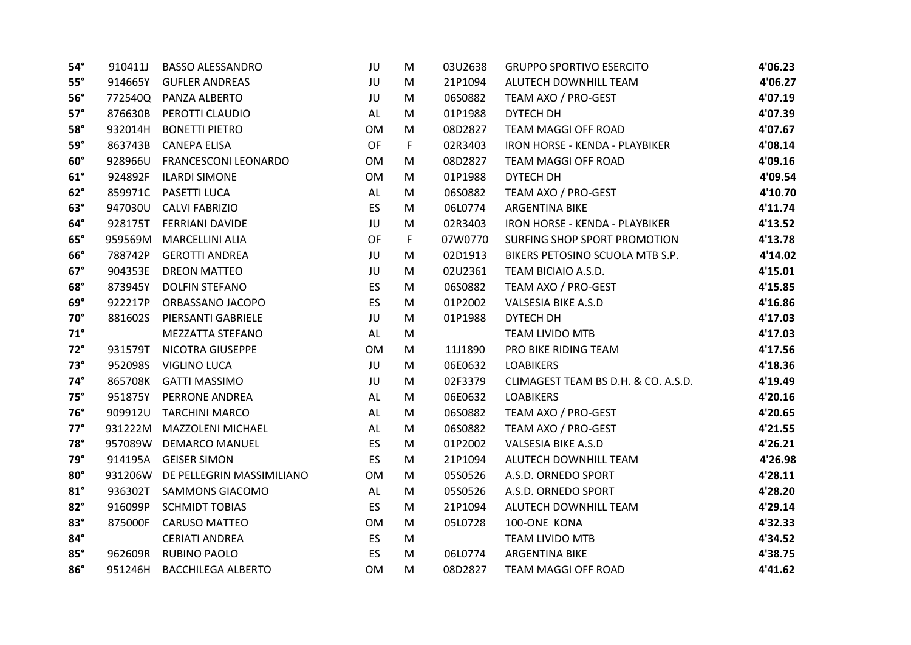| $54^\circ$   | 910411J | <b>BASSO ALESSANDRO</b>   | JU        | M  | 03U2638 | <b>GRUPPO SPORTIVO ESERCITO</b>     | 4'06.23 |
|--------------|---------|---------------------------|-----------|----|---------|-------------------------------------|---------|
| $55^\circ$   | 914665Y | <b>GUFLER ANDREAS</b>     | JU        | M  | 21P1094 | ALUTECH DOWNHILL TEAM               | 4'06.27 |
| $56^\circ$   | 772540Q | PANZA ALBERTO             | JU        | M  | 06S0882 | TEAM AXO / PRO-GEST                 | 4'07.19 |
| $57^\circ$   | 876630B | PEROTTI CLAUDIO           | AL        | M  | 01P1988 | DYTECH DH                           | 4'07.39 |
| $58^\circ$   | 932014H | <b>BONETTI PIETRO</b>     | <b>OM</b> | M  | 08D2827 | TEAM MAGGI OFF ROAD                 | 4'07.67 |
| $59^\circ$   | 863743B | <b>CANEPA ELISA</b>       | <b>OF</b> | F. | 02R3403 | IRON HORSE - KENDA - PLAYBIKER      | 4'08.14 |
| $60^\circ$   | 928966U | FRANCESCONI LEONARDO      | <b>OM</b> | M  | 08D2827 | TEAM MAGGI OFF ROAD                 | 4'09.16 |
| $61^\circ$   | 924892F | <b>ILARDI SIMONE</b>      | <b>OM</b> | M  | 01P1988 | DYTECH DH                           | 4'09.54 |
| $62^\circ$   | 859971C | PASETTI LUCA              | AL        | M  | 06S0882 | TEAM AXO / PRO-GEST                 | 4'10.70 |
| $63^\circ$   | 947030U | <b>CALVI FABRIZIO</b>     | <b>ES</b> | M  | 06L0774 | ARGENTINA BIKE                      | 4'11.74 |
| $64^\circ$   | 928175T | FERRIANI DAVIDE           | JU        | M  | 02R3403 | IRON HORSE - KENDA - PLAYBIKER      | 4'13.52 |
| $65^\circ$   | 959569M | <b>MARCELLINI ALIA</b>    | <b>OF</b> | F. | 07W0770 | SURFING SHOP SPORT PROMOTION        | 4'13.78 |
| $66^\circ$   | 788742P | <b>GEROTTI ANDREA</b>     | JU        | M  | 02D1913 | BIKERS PETOSINO SCUOLA MTB S.P.     | 4'14.02 |
| $67^\circ$   | 904353E | <b>DREON MATTEO</b>       | JU        | M  | 02U2361 | TEAM BICIAIO A.S.D.                 | 4'15.01 |
| $68^\circ$   | 873945Y | <b>DOLFIN STEFANO</b>     | ES        | M  | 06S0882 | TEAM AXO / PRO-GEST                 | 4'15.85 |
| $69^\circ$   | 922217P | ORBASSANO JACOPO          | <b>ES</b> | M  | 01P2002 | <b>VALSESIA BIKE A.S.D</b>          | 4'16.86 |
| $70^\circ$   | 881602S | PIERSANTI GABRIELE        | JU        | M  | 01P1988 | DYTECH DH                           | 4'17.03 |
| $71^\circ$   |         | MEZZATTA STEFANO          | AL        | M  |         | TEAM LIVIDO MTB                     | 4'17.03 |
| $72^\circ$   | 931579T | NICOTRA GIUSEPPE          | OM        | M  | 11J1890 | PRO BIKE RIDING TEAM                | 4'17.56 |
| $73^\circ$   | 952098S | <b>VIGLINO LUCA</b>       | JU        | M  | 06E0632 | <b>LOABIKERS</b>                    | 4'18.36 |
| $74^\circ$   | 865708K | <b>GATTI MASSIMO</b>      | JU        | M  | 02F3379 | CLIMAGEST TEAM BS D.H. & CO. A.S.D. | 4'19.49 |
| $75^\circ$   | 951875Y | PERRONE ANDREA            | AL        | M  | 06E0632 | <b>LOABIKERS</b>                    | 4'20.16 |
| $76^\circ$   | 909912U | <b>TARCHINI MARCO</b>     | AL        | M  | 06S0882 | TEAM AXO / PRO-GEST                 | 4'20.65 |
| $77^\circ$   |         | 931222M MAZZOLENI MICHAEL | AL        | M  | 06S0882 | TEAM AXO / PRO-GEST                 | 4'21.55 |
| $78^\circ$   | 957089W | <b>DEMARCO MANUEL</b>     | <b>ES</b> | M  | 01P2002 | <b>VALSESIA BIKE A.S.D</b>          | 4'26.21 |
| $79^\circ$   | 914195A | <b>GEISER SIMON</b>       | ES        | M  | 21P1094 | ALUTECH DOWNHILL TEAM               | 4'26.98 |
| $80^\circ$   | 931206W | DE PELLEGRIN MASSIMILIANO | OM        | M  | 05S0526 | A.S.D. ORNEDO SPORT                 | 4'28.11 |
| $81^{\circ}$ | 936302T | <b>SAMMONS GIACOMO</b>    | AL        | M  | 05S0526 | A.S.D. ORNEDO SPORT                 | 4'28.20 |
| $82^\circ$   | 916099P | <b>SCHMIDT TOBIAS</b>     | ES        | M  | 21P1094 | ALUTECH DOWNHILL TEAM               | 4'29.14 |
| $83^\circ$   | 875000F | CARUSO MATTEO             | OM        | M  | 05L0728 | 100-ONE KONA                        | 4'32.33 |
| $84^\circ$   |         | <b>CERIATI ANDREA</b>     | ES        | M  |         | <b>TEAM LIVIDO MTB</b>              | 4'34.52 |
| $85^\circ$   | 962609R | <b>RUBINO PAOLO</b>       | ES        | M  | 06L0774 | <b>ARGENTINA BIKE</b>               | 4'38.75 |
| $86^\circ$   | 951246H | <b>BACCHILEGA ALBERTO</b> | <b>OM</b> | M  | 08D2827 | TEAM MAGGI OFF ROAD                 | 4'41.62 |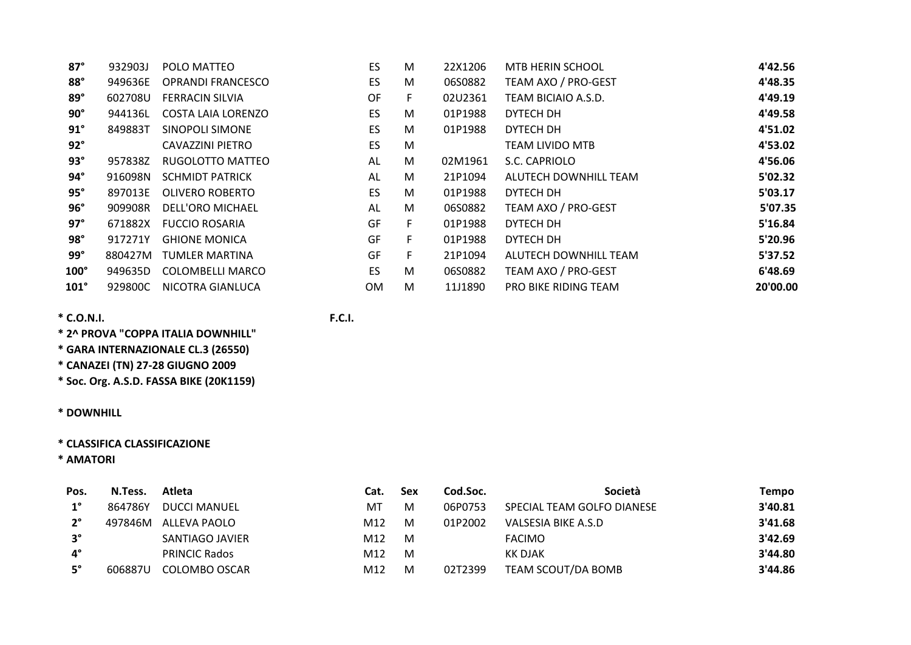| $87^\circ$  | 932903J | POLO MATTEO              | <b>ES</b> | M  | 22X1206 | MTB HERIN SCHOOL            | 4'42.56  |
|-------------|---------|--------------------------|-----------|----|---------|-----------------------------|----------|
| $88^\circ$  | 949636E | <b>OPRANDI FRANCESCO</b> | <b>ES</b> | M  | 06S0882 | TEAM AXO / PRO-GEST         | 4'48.35  |
| $89^\circ$  | 602708U | <b>FERRACIN SILVIA</b>   | OF        | F. | 02U2361 | TEAM BICIAIO A.S.D.         | 4'49.19  |
| $90^\circ$  | 944136L | COSTA LAIA LORENZO       | <b>ES</b> | M  | 01P1988 | DYTECH DH                   | 4'49.58  |
| $91^\circ$  | 849883T | SINOPOLI SIMONE          | ES        | M  | 01P1988 | DYTECH DH                   | 4'51.02  |
| $92^\circ$  |         | CAVAZZINI PIETRO         | <b>ES</b> | M  |         | <b>TEAM LIVIDO MTB</b>      | 4'53.02  |
| $93^\circ$  | 957838Z | RUGOLOTTO MATTEO         | AL        | M  | 02M1961 | S.C. CAPRIOLO               | 4'56.06  |
| $94^\circ$  | 916098N | <b>SCHMIDT PATRICK</b>   | AL        | M  | 21P1094 | ALUTECH DOWNHILL TEAM       | 5'02.32  |
| $95^\circ$  | 897013E | OLIVERO ROBERTO          | <b>ES</b> | M  | 01P1988 | DYTECH DH                   | 5'03.17  |
| $96^\circ$  | 909908R | DELL'ORO MICHAEL         | AL        | M  | 06S0882 | TEAM AXO / PRO-GEST         | 5'07.35  |
| $97^\circ$  | 671882X | <b>FUCCIO ROSARIA</b>    | GF        | F. | 01P1988 | DYTECH DH                   | 5'16.84  |
| $98^\circ$  | 917271Y | <b>GHIONE MONICA</b>     | GF        | F. | 01P1988 | DYTECH DH                   | 5'20.96  |
| $99^\circ$  | 880427M | TUMLER MARTINA           | GF        | F. | 21P1094 | ALUTECH DOWNHILL TEAM       | 5'37.52  |
| $100^\circ$ | 949635D | COLOMBELLI MARCO         | ES        | M  | 06S0882 | TEAM AXO / PRO-GEST         | 6'48.69  |
| $101^\circ$ | 929800C | NICOTRA GIANLUCA         | 0M        | M  | 11J1890 | <b>PRO BIKE RIDING TEAM</b> | 20'00.00 |

**\* 2^ PROVA "COPPA ITALIA DOWNHILL"**

**\* GARA INTERNAZIONALE CL.3 (26550)**

**\* CANAZEI (TN) 27‐28 GIUGNO 2009**

**\* Soc. Org. A.S.D. FASSA BIKE (20K1159)**

**\* DOWNHILL**

## **\* CLASSIFICA CLASSIFICAZIONE**

**\* AMATORI**

| Pos.        | N.Tess. | Atleta               | Cat. | <b>Sex</b> | Cod.Soc. | Società                    | Tempo   |
|-------------|---------|----------------------|------|------------|----------|----------------------------|---------|
| $1^{\circ}$ | 864786Y | <b>DUCCI MANUEL</b>  | МT   | M          | 06P0753  | SPECIAL TEAM GOLFO DIANESE | 3'40.81 |
| $2^{\circ}$ | 497846M | ALLEVA PAOLO         | M12  | M          | 01P2002  | VALSESIA BIKE A.S.D        | 3'41.68 |
| $3^{\circ}$ |         | SANTIAGO JAVIER      | M12  | M          |          | <b>FACIMO</b>              | 3'42.69 |
| $4^\circ$   |         | <b>PRINCIC Rados</b> | M12  | M          |          | KK DJAK                    | 3'44.80 |
| 5°          | 606887U | COLOMBO OSCAR        | M12  | м          | 02T2399  | TEAM SCOUT/DA BOMB         | 3'44.86 |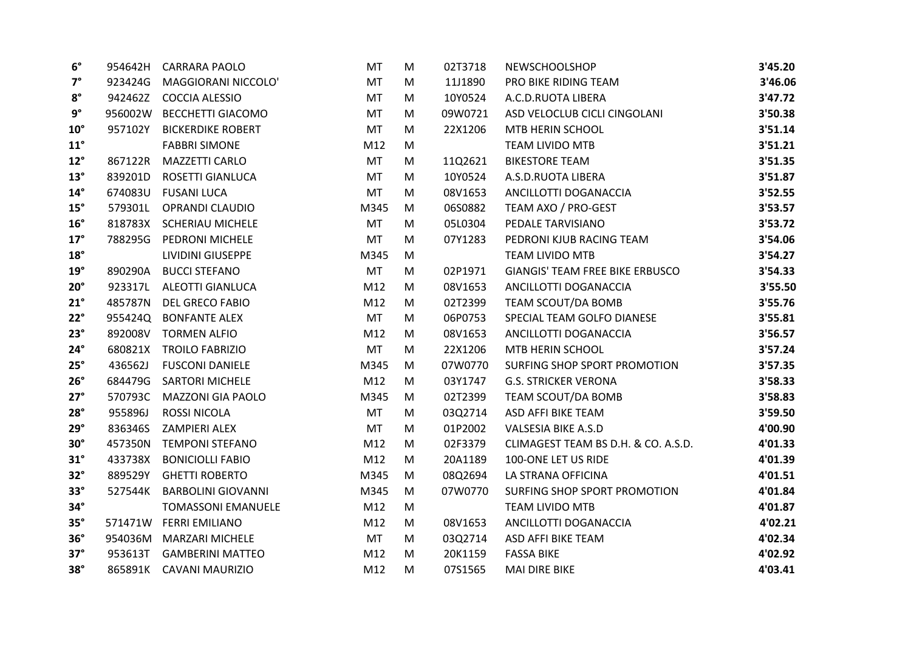| $6^{\circ}$  |         | 954642H CARRARA PAOLO     | MT        | M | 02T3718 | <b>NEWSCHOOLSHOP</b>                | 3'45.20 |
|--------------|---------|---------------------------|-----------|---|---------|-------------------------------------|---------|
| $7^\circ$    | 923424G | MAGGIORANI NICCOLO'       | MT        | M | 11J1890 | PRO BIKE RIDING TEAM                | 3'46.06 |
| $8^{\circ}$  |         | 942462Z COCCIA ALESSIO    | <b>MT</b> | M | 10Y0524 | A.C.D.RUOTA LIBERA                  | 3'47.72 |
| $9^{\circ}$  |         | 956002W BECCHETTI GIACOMO | <b>MT</b> | M | 09W0721 | ASD VELOCLUB CICLI CINGOLANI        | 3'50.38 |
| $10^{\circ}$ | 957102Y | <b>BICKERDIKE ROBERT</b>  | <b>MT</b> | M | 22X1206 | MTB HERIN SCHOOL                    | 3'51.14 |
| $11^{\circ}$ |         | <b>FABBRI SIMONE</b>      | M12       | M |         | <b>TEAM LIVIDO MTB</b>              | 3'51.21 |
| $12^{\circ}$ | 867122R | <b>MAZZETTI CARLO</b>     | <b>MT</b> | M | 11Q2621 | <b>BIKESTORE TEAM</b>               | 3'51.35 |
| $13^\circ$   | 839201D | ROSETTI GIANLUCA          | MT        | M | 10Y0524 | A.S.D.RUOTA LIBERA                  | 3'51.87 |
| $14^{\circ}$ | 674083U | <b>FUSANI LUCA</b>        | <b>MT</b> | M | 08V1653 | ANCILLOTTI DOGANACCIA               | 3'52.55 |
| $15^\circ$   | 579301L | OPRANDI CLAUDIO           | M345      | M | 06S0882 | TEAM AXO / PRO-GEST                 | 3'53.57 |
| $16^{\circ}$ |         | 818783X SCHERIAU MICHELE  | MT        | M | 05L0304 | PEDALE TARVISIANO                   | 3'53.72 |
| $17^\circ$   | 788295G | PEDRONI MICHELE           | <b>MT</b> | M | 07Y1283 | PEDRONI KJUB RACING TEAM            | 3'54.06 |
| $18^{\circ}$ |         | LIVIDINI GIUSEPPE         | M345      | M |         | <b>TEAM LIVIDO MTB</b>              | 3'54.27 |
| $19^\circ$   | 890290A | <b>BUCCI STEFANO</b>      | <b>MT</b> | M | 02P1971 | GIANGIS' TEAM FREE BIKE ERBUSCO     | 3'54.33 |
| $20^\circ$   |         | 923317L ALEOTTI GIANLUCA  | M12       | M | 08V1653 | ANCILLOTTI DOGANACCIA               | 3'55.50 |
| $21^\circ$   | 485787N | <b>DEL GRECO FABIO</b>    | M12       | M | 02T2399 | TEAM SCOUT/DA BOMB                  | 3'55.76 |
| $22^\circ$   |         | 955424Q BONFANTE ALEX     | <b>MT</b> | M | 06P0753 | SPECIAL TEAM GOLFO DIANESE          | 3'55.81 |
| $23^\circ$   |         | 892008V TORMEN ALFIO      | M12       | M | 08V1653 | ANCILLOTTI DOGANACCIA               | 3'56.57 |
| $24^\circ$   | 680821X | <b>TROILO FABRIZIO</b>    | <b>MT</b> | M | 22X1206 | MTB HERIN SCHOOL                    | 3'57.24 |
| $25^\circ$   | 436562J | <b>FUSCONI DANIELE</b>    | M345      | M | 07W0770 | SURFING SHOP SPORT PROMOTION        | 3'57.35 |
| $26^\circ$   | 684479G | <b>SARTORI MICHELE</b>    | M12       | M | 03Y1747 | <b>G.S. STRICKER VERONA</b>         | 3'58.33 |
| $27^\circ$   | 570793C | <b>MAZZONI GIA PAOLO</b>  | M345      | M | 02T2399 | TEAM SCOUT/DA BOMB                  | 3'58.83 |
| $28^\circ$   | 955896J | <b>ROSSI NICOLA</b>       | MT        | M | 03Q2714 | ASD AFFI BIKE TEAM                  | 3'59.50 |
| $29^\circ$   | 836346S | ZAMPIERI ALEX             | MT        | M | 01P2002 | <b>VALSESIA BIKE A.S.D</b>          | 4'00.90 |
| $30^\circ$   | 457350N | <b>TEMPONI STEFANO</b>    | M12       | M | 02F3379 | CLIMAGEST TEAM BS D.H. & CO. A.S.D. | 4'01.33 |
| $31^\circ$   | 433738X | <b>BONICIOLLI FABIO</b>   | M12       | M | 20A1189 | 100-ONE LET US RIDE                 | 4'01.39 |
| $32^\circ$   | 889529Y | <b>GHETTI ROBERTO</b>     | M345      | M | 08Q2694 | LA STRANA OFFICINA                  | 4'01.51 |
| $33^\circ$   | 527544K | <b>BARBOLINI GIOVANNI</b> | M345      | M | 07W0770 | SURFING SHOP SPORT PROMOTION        | 4'01.84 |
| $34^\circ$   |         | <b>TOMASSONI EMANUELE</b> | M12       | M |         | TEAM LIVIDO MTB                     | 4'01.87 |
| $35^\circ$   |         | 571471W FERRI EMILIANO    | M12       | M | 08V1653 | ANCILLOTTI DOGANACCIA               | 4'02.21 |
| $36^\circ$   |         | 954036M MARZARI MICHELE   | <b>MT</b> | M | 03Q2714 | ASD AFFI BIKE TEAM                  | 4'02.34 |
| $37^\circ$   | 953613T | <b>GAMBERINI MATTEO</b>   | M12       | M | 20K1159 | <b>FASSA BIKE</b>                   | 4'02.92 |
| $38^\circ$   |         | 865891K CAVANI MAURIZIO   | M12       | M | 07S1565 | <b>MAI DIRE BIKE</b>                | 4'03.41 |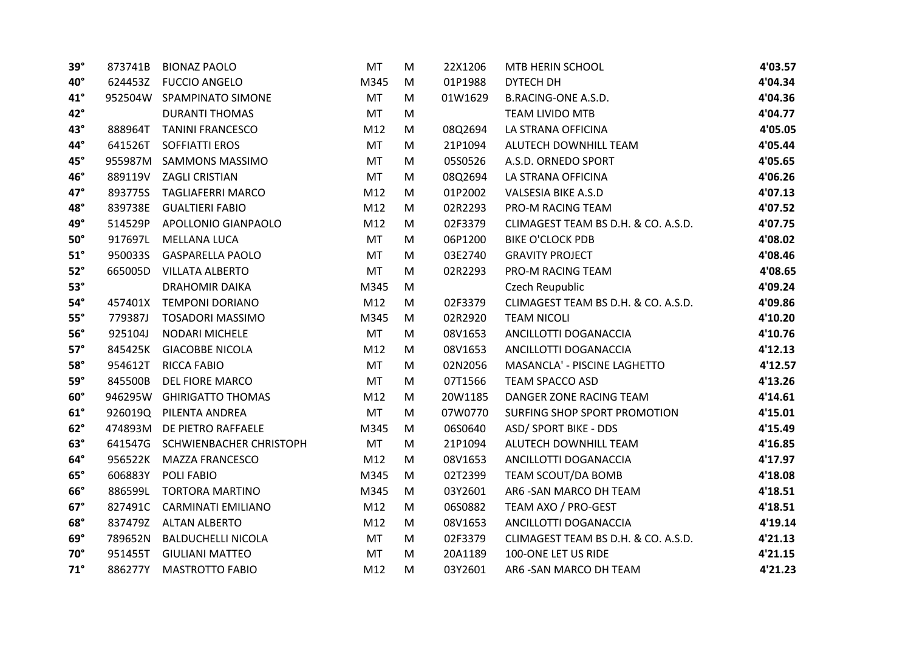| $39^\circ$   | 873741B | <b>BIONAZ PAOLO</b>       | MT        | M | 22X1206 | MTB HERIN SCHOOL                    | 4'03.57 |
|--------------|---------|---------------------------|-----------|---|---------|-------------------------------------|---------|
| $40^{\circ}$ | 624453Z | <b>FUCCIO ANGELO</b>      | M345      | M | 01P1988 | DYTECH DH                           | 4'04.34 |
| $41^{\circ}$ |         | 952504W SPAMPINATO SIMONE | <b>MT</b> | M | 01W1629 | <b>B.RACING-ONE A.S.D.</b>          | 4'04.36 |
| $42^\circ$   |         | <b>DURANTI THOMAS</b>     | <b>MT</b> | M |         | <b>TEAM LIVIDO MTB</b>              | 4'04.77 |
| $43^\circ$   | 888964T | <b>TANINI FRANCESCO</b>   | M12       | M | 08Q2694 | LA STRANA OFFICINA                  | 4'05.05 |
| 44°          | 641526T | <b>SOFFIATTI EROS</b>     | <b>MT</b> | M | 21P1094 | ALUTECH DOWNHILL TEAM               | 4'05.44 |
| 45°          | 955987M | <b>SAMMONS MASSIMO</b>    | <b>MT</b> | M | 05S0526 | A.S.D. ORNEDO SPORT                 | 4'05.65 |
| 46°          |         | 889119V ZAGLI CRISTIAN    | MT        | M | 08Q2694 | LA STRANA OFFICINA                  | 4'06.26 |
| $47^\circ$   |         | 893775S TAGLIAFERRI MARCO | M12       | M | 01P2002 | <b>VALSESIA BIKE A.S.D</b>          | 4'07.13 |
| 48°          | 839738E | <b>GUALTIERI FABIO</b>    | M12       | M | 02R2293 | PRO-M RACING TEAM                   | 4'07.52 |
| 49°          | 514529P | APOLLONIO GIANPAOLO       | M12       | M | 02F3379 | CLIMAGEST TEAM BS D.H. & CO. A.S.D. | 4'07.75 |
| $50^\circ$   | 917697L | <b>MELLANA LUCA</b>       | <b>MT</b> | M | 06P1200 | <b>BIKE O'CLOCK PDB</b>             | 4'08.02 |
| $51^\circ$   | 950033S | <b>GASPARELLA PAOLO</b>   | <b>MT</b> | M | 03E2740 | <b>GRAVITY PROJECT</b>              | 4'08.46 |
| $52^\circ$   | 665005D | <b>VILLATA ALBERTO</b>    | MT        | M | 02R2293 | PRO-M RACING TEAM                   | 4'08.65 |
| $53^\circ$   |         | <b>DRAHOMIR DAIKA</b>     | M345      | M |         | Czech Reupublic                     | 4'09.24 |
| $54^\circ$   | 457401X | <b>TEMPONI DORIANO</b>    | M12       | M | 02F3379 | CLIMAGEST TEAM BS D.H. & CO. A.S.D. | 4'09.86 |
| $55^\circ$   | 779387J | <b>TOSADORI MASSIMO</b>   | M345      | M | 02R2920 | <b>TEAM NICOLI</b>                  | 4'10.20 |
| $56^\circ$   | 925104J | <b>NODARI MICHELE</b>     | <b>MT</b> | M | 08V1653 | ANCILLOTTI DOGANACCIA               | 4'10.76 |
| $57^\circ$   | 845425K | <b>GIACOBBE NICOLA</b>    | M12       | M | 08V1653 | ANCILLOTTI DOGANACCIA               | 4'12.13 |
| $58^\circ$   | 954612T | <b>RICCA FABIO</b>        | <b>MT</b> | M | 02N2056 | MASANCLA' - PISCINE LAGHETTO        | 4'12.57 |
| $59^\circ$   | 845500B | DEL FIORE MARCO           | <b>MT</b> | M | 07T1566 | <b>TEAM SPACCO ASD</b>              | 4'13.26 |
| $60^\circ$   |         | 946295W GHIRIGATTO THOMAS | M12       | M | 20W1185 | DANGER ZONE RACING TEAM             | 4'14.61 |
| $61^\circ$   |         | 926019Q PILENTA ANDREA    | <b>MT</b> | M | 07W0770 | SURFING SHOP SPORT PROMOTION        | 4'15.01 |
| $62^\circ$   | 474893M | DE PIETRO RAFFAELE        | M345      | M | 06S0640 | <b>ASD/ SPORT BIKE - DDS</b>        | 4'15.49 |
| $63^\circ$   | 641547G | SCHWIENBACHER CHRISTOPH   | MT        | M | 21P1094 | ALUTECH DOWNHILL TEAM               | 4'16.85 |
| $64^\circ$   | 956522K | <b>MAZZA FRANCESCO</b>    | M12       | M | 08V1653 | ANCILLOTTI DOGANACCIA               | 4'17.97 |
| $65^\circ$   | 606883Y | POLI FABIO                | M345      | M | 02T2399 | TEAM SCOUT/DA BOMB                  | 4'18.08 |
| $66^\circ$   | 886599L | <b>TORTORA MARTINO</b>    | M345      | M | 03Y2601 | AR6 - SAN MARCO DH TEAM             | 4'18.51 |
| $67^\circ$   | 827491C | <b>CARMINATI EMILIANO</b> | M12       | M | 06S0882 | TEAM AXO / PRO-GEST                 | 4'18.51 |
| $68^\circ$   |         | 837479Z ALTAN ALBERTO     | M12       | M | 08V1653 | ANCILLOTTI DOGANACCIA               | 4'19.14 |
| $69^\circ$   | 789652N | <b>BALDUCHELLI NICOLA</b> | <b>MT</b> | M | 02F3379 | CLIMAGEST TEAM BS D.H. & CO. A.S.D. | 4'21.13 |
| $70^\circ$   | 951455T | <b>GIULIANI MATTEO</b>    | <b>MT</b> | M | 20A1189 | 100-ONE LET US RIDE                 | 4'21.15 |
| $71^\circ$   | 886277Y | <b>MASTROTTO FABIO</b>    | M12       | M | 03Y2601 | AR6 - SAN MARCO DH TEAM             | 4'21.23 |